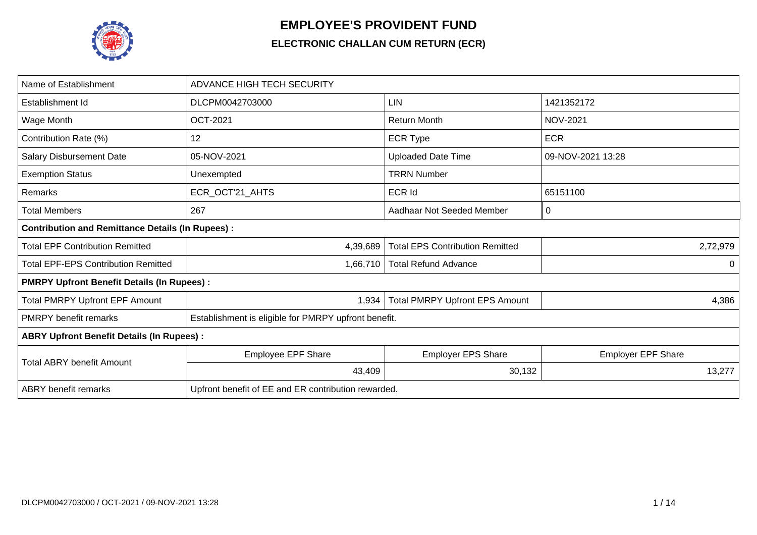

## **EMPLOYEE'S PROVIDENT FUND**

## **ELECTRONIC CHALLAN CUM RETURN (ECR)**

| Name of Establishment                                   | <b>ADVANCE HIGH TECH SECURITY</b>                    |                                        |                           |  |  |  |  |  |  |  |
|---------------------------------------------------------|------------------------------------------------------|----------------------------------------|---------------------------|--|--|--|--|--|--|--|
| Establishment Id                                        | DLCPM0042703000                                      | LIN                                    | 1421352172                |  |  |  |  |  |  |  |
| Wage Month                                              | <b>OCT-2021</b>                                      | <b>Return Month</b>                    | <b>NOV-2021</b>           |  |  |  |  |  |  |  |
| Contribution Rate (%)                                   | 12                                                   | <b>ECR Type</b>                        | <b>ECR</b>                |  |  |  |  |  |  |  |
| Salary Disbursement Date                                | 05-NOV-2021                                          | <b>Uploaded Date Time</b>              | 09-NOV-2021 13:28         |  |  |  |  |  |  |  |
| <b>Exemption Status</b>                                 | Unexempted                                           | <b>TRRN Number</b>                     |                           |  |  |  |  |  |  |  |
| Remarks                                                 | ECR_OCT'21_AHTS                                      | <b>ECR Id</b>                          | 65151100                  |  |  |  |  |  |  |  |
| <b>Total Members</b>                                    | 267                                                  | Aadhaar Not Seeded Member              | 0                         |  |  |  |  |  |  |  |
| <b>Contribution and Remittance Details (In Rupees):</b> |                                                      |                                        |                           |  |  |  |  |  |  |  |
| <b>Total EPF Contribution Remitted</b>                  | 4,39,689                                             | <b>Total EPS Contribution Remitted</b> | 2,72,979                  |  |  |  |  |  |  |  |
| <b>Total EPF-EPS Contribution Remitted</b>              | 1,66,710                                             | <b>Total Refund Advance</b>            | $\Omega$                  |  |  |  |  |  |  |  |
| <b>PMRPY Upfront Benefit Details (In Rupees):</b>       |                                                      |                                        |                           |  |  |  |  |  |  |  |
| <b>Total PMRPY Upfront EPF Amount</b>                   | 1,934                                                | <b>Total PMRPY Upfront EPS Amount</b>  | 4,386                     |  |  |  |  |  |  |  |
| <b>PMRPY benefit remarks</b>                            | Establishment is eligible for PMRPY upfront benefit. |                                        |                           |  |  |  |  |  |  |  |
| <b>ABRY Upfront Benefit Details (In Rupees):</b>        |                                                      |                                        |                           |  |  |  |  |  |  |  |
| <b>Total ABRY benefit Amount</b>                        | <b>Employee EPF Share</b>                            | <b>Employer EPS Share</b>              | <b>Employer EPF Share</b> |  |  |  |  |  |  |  |
|                                                         | 43,409                                               | 30,132                                 | 13,277                    |  |  |  |  |  |  |  |
| <b>ABRY</b> benefit remarks                             | Upfront benefit of EE and ER contribution rewarded.  |                                        |                           |  |  |  |  |  |  |  |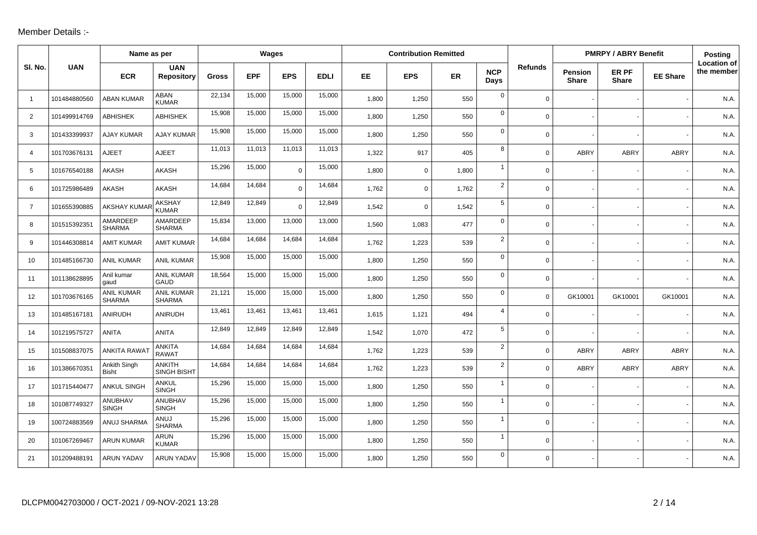## Member Details :-

|                |              | Name as per                        |                               |              |            | Wages       |             |       | <b>Contribution Remitted</b> |       |                    |                |                         | <b>PMRPY / ABRY Benefit</b> |                 | <b>Posting</b>                   |
|----------------|--------------|------------------------------------|-------------------------------|--------------|------------|-------------|-------------|-------|------------------------------|-------|--------------------|----------------|-------------------------|-----------------------------|-----------------|----------------------------------|
| SI. No.        | <b>UAN</b>   | <b>ECR</b>                         | <b>UAN</b><br>Repository      | <b>Gross</b> | <b>EPF</b> | <b>EPS</b>  | <b>EDLI</b> | EE    | <b>EPS</b>                   | ER    | <b>NCP</b><br>Days | <b>Refunds</b> | Pension<br><b>Share</b> | ER PF<br><b>Share</b>       | <b>EE Share</b> | <b>Location of</b><br>the member |
| $\overline{1}$ | 101484880560 | <b>ABAN KUMAR</b>                  | ABAN<br><b>KUMAR</b>          | 22,134       | 15,000     | 15,000      | 15,000      | 1,800 | 1,250                        | 550   | $\mathbf 0$        | $\mathbf 0$    |                         |                             |                 | N.A.                             |
| 2              | 101499914769 | <b>ABHISHEK</b>                    | <b>ABHISHEK</b>               | 15,908       | 15,000     | 15,000      | 15,000      | 1,800 | 1,250                        | 550   | $\mathbf 0$        | $\Omega$       |                         |                             |                 | N.A.                             |
| 3              | 101433399937 | <b>AJAY KUMAR</b>                  | <b>AJAY KUMAR</b>             | 15,908       | 15,000     | 15,000      | 15,000      | 1,800 | 1,250                        | 550   | $\mathbf{0}$       | 0              |                         |                             |                 | N.A.                             |
| 4              | 101703676131 | <b>AJEET</b>                       | <b>AJEET</b>                  | 11,013       | 11,013     | 11,013      | 11,013      | 1,322 | 917                          | 405   | 8                  | $\Omega$       | <b>ABRY</b>             | ABRY                        | ABRY            | N.A.                             |
| 5              | 101676540188 | AKASH                              | <b>AKASH</b>                  | 15,296       | 15,000     | $\mathbf 0$ | 15,000      | 1,800 | $\mathbf 0$                  | 1,800 | $\mathbf{1}$       | $\Omega$       |                         |                             |                 | N.A.                             |
| 6              | 101725986489 | <b>AKASH</b>                       | <b>AKASH</b>                  | 14,684       | 14,684     | $\Omega$    | 14,684      | 1,762 | $\mathbf 0$                  | 1,762 | $\overline{2}$     | $\Omega$       |                         |                             |                 | N.A.                             |
| $\overline{7}$ | 101655390885 | <b>AKSHAY KUMAR</b>                | <b>AKSHAY</b><br><b>KUMAR</b> | 12,849       | 12,849     | $\Omega$    | 12,849      | 1,542 | $\mathbf 0$                  | 1,542 | 5                  | $\Omega$       |                         |                             |                 | N.A.                             |
| 8              | 101515392351 | AMARDEEP<br><b>SHARMA</b>          | AMARDEEP<br><b>SHARMA</b>     | 15,834       | 13,000     | 13,000      | 13,000      | 1,560 | 1,083                        | 477   | $\mathbf 0$        | $\Omega$       |                         |                             |                 | N.A.                             |
| 9              | 101446308814 | <b>AMIT KUMAR</b>                  | <b>AMIT KUMAR</b>             | 14,684       | 14,684     | 14,684      | 14,684      | 1,762 | 1,223                        | 539   | $\overline{2}$     | 0              |                         |                             |                 | N.A.                             |
| 10             | 101485166730 | <b>ANIL KUMAR</b>                  | <b>ANIL KUMAR</b>             | 15,908       | 15,000     | 15,000      | 15,000      | 1,800 | 1,250                        | 550   | $\mathbf 0$        | 0              |                         |                             |                 | N.A.                             |
| 11             | 101138628895 | Anil kumar<br>gaud                 | ANIL KUMAR<br>GAUD            | 18,564       | 15,000     | 15,000      | 15,000      | 1,800 | 1,250                        | 550   | $\mathbf 0$        | $\overline{0}$ |                         |                             |                 | N.A.                             |
| 12             | 101703676165 | <b>ANIL KUMAR</b><br><b>SHARMA</b> | ANIL KUMAR<br><b>SHARMA</b>   | 21,121       | 15,000     | 15,000      | 15,000      | 1,800 | 1,250                        | 550   | $\mathbf 0$        | $\mathbf 0$    | GK10001                 | GK10001                     | GK10001         | N.A.                             |
| 13             | 101485167181 | ANIRUDH                            | ANIRUDH                       | 13,461       | 13,461     | 13,461      | 13,461      | 1,615 | 1,121                        | 494   | 4                  | $\Omega$       |                         |                             |                 | N.A.                             |
| 14             | 101219575727 | <b>ANITA</b>                       | <b>ANITA</b>                  | 12,849       | 12,849     | 12,849      | 12,849      | 1,542 | 1,070                        | 472   | 5                  | 0              |                         |                             |                 | N.A.                             |
| 15             | 101508837075 | <b>ANKITA RAWAT</b>                | <b>ANKITA</b><br><b>RAWAT</b> | 14,684       | 14,684     | 14,684      | 14,684      | 1,762 | 1,223                        | 539   | $\overline{2}$     | $\Omega$       | <b>ABRY</b>             | <b>ABRY</b>                 | <b>ABRY</b>     | N.A.                             |
| 16             | 101386670351 | Ankith Singh<br><b>Bisht</b>       | <b>ANKITH</b><br>SINGH BISHT  | 14,684       | 14,684     | 14,684      | 14,684      | 1,762 | 1,223                        | 539   | $\overline{2}$     | 0              | <b>ABRY</b>             | ABRY                        | <b>ABRY</b>     | N.A.                             |
| 17             | 101715440477 | <b>ANKUL SINGH</b>                 | ANKUL<br><b>SINGH</b>         | 15,296       | 15,000     | 15,000      | 15,000      | 1,800 | 1,250                        | 550   | $\mathbf{1}$       | $\Omega$       |                         |                             |                 | N.A.                             |
| 18             | 101087749327 | ANUBHAV<br><b>SINGH</b>            | ANUBHAV<br><b>SINGH</b>       | 15,296       | 15,000     | 15,000      | 15,000      | 1,800 | 1,250                        | 550   | $\mathbf{1}$       | 0              |                         |                             |                 | N.A.                             |
| 19             | 100724883569 | ANUJ SHARMA                        | ANUJ<br><b>SHARMA</b>         | 15,296       | 15,000     | 15,000      | 15,000      | 1,800 | 1,250                        | 550   | $\mathbf{1}$       | 0              |                         |                             |                 | N.A.                             |
| 20             | 101067269467 | <b>ARUN KUMAR</b>                  | ARUN<br><b>KUMAR</b>          | 15,296       | 15,000     | 15,000      | 15,000      | 1,800 | 1,250                        | 550   | $\mathbf{1}$       | 0              |                         |                             |                 | N.A                              |
| 21             | 101209488191 | <b>ARUN YADAV</b>                  | <b>ARUN YADAV</b>             | 15,908       | 15,000     | 15,000      | 15,000      | 1,800 | 1,250                        | 550   | $\mathbf 0$        | $\Omega$       |                         |                             |                 | N.A.                             |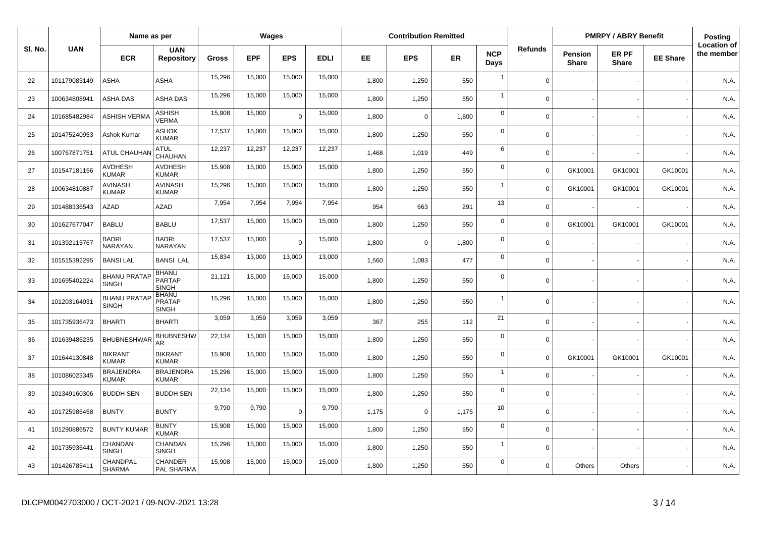|         |              | Name as per                         |                                               |              |            | Wages          |             |       | <b>Contribution Remitted</b> |       |                    |                |                                | <b>PMRPY / ABRY Benefit</b> |                 | <b>Posting</b>                   |
|---------|--------------|-------------------------------------|-----------------------------------------------|--------------|------------|----------------|-------------|-------|------------------------------|-------|--------------------|----------------|--------------------------------|-----------------------------|-----------------|----------------------------------|
| SI. No. | <b>UAN</b>   | <b>ECR</b>                          | <b>UAN</b><br><b>Repository</b>               | <b>Gross</b> | <b>EPF</b> | <b>EPS</b>     | <b>EDLI</b> | EE.   | <b>EPS</b>                   | ER    | <b>NCP</b><br>Days | <b>Refunds</b> | <b>Pension</b><br><b>Share</b> | ER PF<br><b>Share</b>       | <b>EE Share</b> | <b>Location of</b><br>the member |
| 22      | 101179083149 | ASHA                                | <b>ASHA</b>                                   | 15,296       | 15,000     | 15,000         | 15,000      | 1,800 | 1,250                        | 550   | $\overline{1}$     | $\Omega$       |                                |                             |                 | N.A.                             |
| 23      | 100634808941 | ASHA DAS                            | ASHA DAS                                      | 15,296       | 15,000     | 15,000         | 15,000      | 1,800 | 1,250                        | 550   | $\overline{1}$     | $\Omega$       |                                |                             |                 | N.A.                             |
| 24      | 101685482984 | <b>ASHISH VERMA</b>                 | ASHISH<br>VERMA                               | 15,908       | 15,000     | $\overline{0}$ | 15,000      | 1,800 | $\mathbf 0$                  | 1,800 | $\mathbf 0$        | $\mathbf 0$    |                                |                             |                 | N.A.                             |
| 25      | 101475240953 | Ashok Kumar                         | ASHOK<br><b>KUMAR</b>                         | 17,537       | 15,000     | 15,000         | 15,000      | 1.800 | 1,250                        | 550   | $\mathbf 0$        | $\Omega$       |                                |                             |                 | N.A.                             |
| 26      | 100767871751 | <b>ATUL CHAUHAI</b>                 | <b>ATUL</b><br>CHAUHAN                        | 12,237       | 12,237     | 12,237         | 12,237      | 1,468 | 1,019                        | 449   | 6                  | $\mathbf 0$    |                                |                             |                 | N.A.                             |
| 27      | 101547181156 | <b>AVDHESH</b><br><b>KUMAR</b>      | <b>AVDHESH</b><br><b>KUMAR</b>                | 15,908       | 15,000     | 15,000         | 15,000      | 1,800 | 1,250                        | 550   | $\mathbf 0$        | $\Omega$       | GK10001                        | GK10001                     | GK10001         | N.A.                             |
| 28      | 100634810887 | <b>AVINASH</b><br><b>KUMAR</b>      | <b>AVINASH</b><br><b>KUMAR</b>                | 15,296       | 15,000     | 15,000         | 15,000      | 1,800 | 1,250                        | 550   | $\overline{1}$     | $\mathbf 0$    | GK10001                        | GK10001                     | GK10001         | N.A.                             |
| 29      | 101488336543 | <b>AZAD</b>                         | <b>AZAD</b>                                   | 7,954        | 7,954      | 7,954          | 7,954       | 954   | 663                          | 291   | 13                 | $\Omega$       |                                |                             |                 | N.A.                             |
| 30      | 101627677047 | <b>BABLU</b>                        | <b>BABLU</b>                                  | 17,537       | 15,000     | 15,000         | 15,000      | 1,800 | 1,250                        | 550   | $\mathbf 0$        | $\Omega$       | GK10001                        | GK10001                     | GK10001         | N.A.                             |
| 31      | 101392115767 | <b>BADRI</b><br>NARAYAN             | <b>BADRI</b><br>NARAYAN                       | 17,537       | 15,000     | $\overline{0}$ | 15,000      | 1,800 | $\mathbf 0$                  | 1,800 | $\mathbf 0$        | $\mathbf 0$    |                                |                             |                 | N.A.                             |
| 32      | 101515392295 | <b>BANSILAL</b>                     | <b>BANSI LAL</b>                              | 15,834       | 13,000     | 13,000         | 13,000      | 1,560 | 1,083                        | 477   | $\mathbf 0$        | $\Omega$       |                                |                             |                 | N.A.                             |
| 33      | 101695402224 | <b>BHANU PRATAP</b><br><b>SINGH</b> | <b>BHANU</b><br><b>PARTAP</b><br><b>SINGH</b> | 21,121       | 15,000     | 15,000         | 15,000      | 1,800 | 1,250                        | 550   | $\mathbf 0$        | $\Omega$       |                                |                             |                 | N.A.                             |
| 34      | 101203164931 | <b>BHANU PRATAF</b><br><b>SINGH</b> | <b>BHANU</b><br><b>PRATAP</b><br><b>SINGH</b> | 15,296       | 15,000     | 15,000         | 15,000      | 1,800 | 1,250                        | 550   | $\overline{1}$     | $\Omega$       |                                |                             |                 | N.A.                             |
| 35      | 101735936473 | <b>BHARTI</b>                       | <b>BHARTI</b>                                 | 3,059        | 3,059      | 3,059          | 3,059       | 367   | 255                          | 112   | 21                 | $\Omega$       |                                |                             |                 | N.A.                             |
| 36      | 101639486235 | <b>BHUBNESHWAF</b>                  | <b>BHUBNESHW</b><br>AR.                       | 22,134       | 15,000     | 15,000         | 15,000      | 1,800 | 1,250                        | 550   | $\mathbf 0$        | $\Omega$       |                                |                             |                 | N.A.                             |
| 37      | 101644130848 | <b>BIKRANT</b><br><b>KUMAR</b>      | <b>BIKRANT</b><br><b>KUMAR</b>                | 15,908       | 15,000     | 15,000         | 15,000      | 1,800 | 1,250                        | 550   | $\mathsf 0$        | $\Omega$       | GK10001                        | GK10001                     | GK10001         | N.A.                             |
| 38      | 101086023345 | <b>BRAJENDRA</b><br><b>KUMAR</b>    | <b>BRAJENDRA</b><br><b>KUMAR</b>              | 15,296       | 15,000     | 15,000         | 15,000      | 1,800 | 1,250                        | 550   | $\overline{1}$     | $\Omega$       |                                |                             |                 | N.A.                             |
| 39      | 101349160306 | <b>BUDDH SEN</b>                    | <b>BUDDH SEN</b>                              | 22,134       | 15,000     | 15,000         | 15,000      | 1,800 | 1,250                        | 550   | $\mathbf 0$        | $\Omega$       |                                |                             |                 | N.A.                             |
| 40      | 101725986458 | <b>BUNTY</b>                        | <b>BUNTY</b>                                  | 9,790        | 9,790      | $\Omega$       | 9,790       | 1,175 | $\mathbf 0$                  | 1,175 | 10                 | $\Omega$       |                                |                             |                 | N.A.                             |
| 41      | 101290886572 | <b>BUNTY KUMAR</b>                  | <b>BUNTY</b><br><b>KUMAR</b>                  | 15,908       | 15,000     | 15,000         | 15,000      | 1,800 | 1,250                        | 550   | $\mathbf 0$        | $\Omega$       |                                |                             |                 | N.A.                             |
| 42      | 101735936441 | CHANDAN<br><b>SINGH</b>             | CHANDAN<br><b>SINGH</b>                       | 15,296       | 15,000     | 15,000         | 15,000      | 1,800 | 1,250                        | 550   | $\overline{1}$     | $\Omega$       |                                |                             |                 | N.A.                             |
| 43      | 101426785411 | CHANDPAL<br><b>SHARMA</b>           | <b>CHANDER</b><br>PAL SHARMA                  | 15,908       | 15,000     | 15,000         | 15,000      | 1,800 | 1,250                        | 550   | $\overline{0}$     | $\Omega$       | <b>Others</b>                  | Others                      |                 | N.A.                             |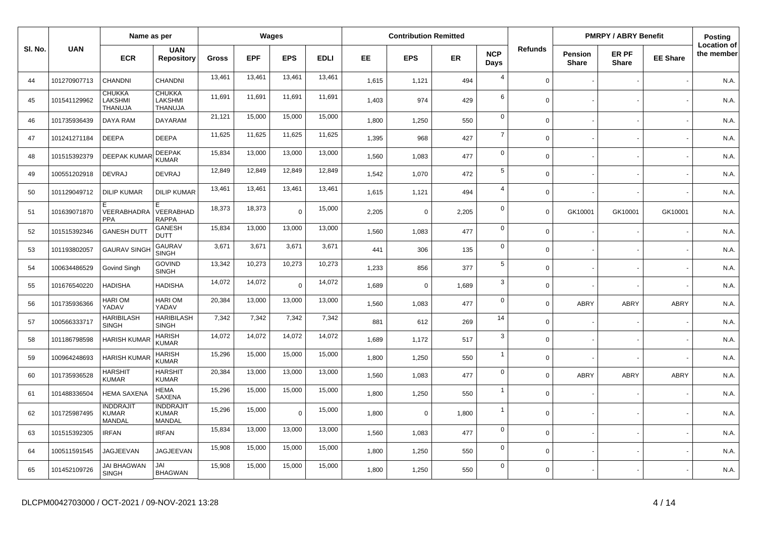|         |              | Name as per                                |                                            |        | Wages      |                |             |       | <b>Contribution Remitted</b> |       |                    |                |                                | <b>PMRPY / ABRY Benefit</b> |                 | Posting                          |
|---------|--------------|--------------------------------------------|--------------------------------------------|--------|------------|----------------|-------------|-------|------------------------------|-------|--------------------|----------------|--------------------------------|-----------------------------|-----------------|----------------------------------|
| SI. No. | <b>UAN</b>   | <b>ECR</b>                                 | <b>UAN</b><br><b>Repository</b>            | Gross  | <b>EPF</b> | <b>EPS</b>     | <b>EDLI</b> | EE    | <b>EPS</b>                   | ER    | <b>NCP</b><br>Days | <b>Refunds</b> | <b>Pension</b><br><b>Share</b> | ER PF<br><b>Share</b>       | <b>EE Share</b> | <b>Location of</b><br>the member |
| 44      | 101270907713 | CHANDNI                                    | CHANDNI                                    | 13,461 | 13,461     | 13,461         | 13,461      | 1,615 | 1,121                        | 494   | $\overline{4}$     | $\mathbf 0$    |                                |                             |                 | N.A.                             |
| 45      | 101541129962 | <b>CHUKKA</b><br><b>LAKSHMI</b><br>THANUJA | <b>CHUKKA</b><br><b>LAKSHMI</b><br>THANUJA | 11,691 | 11,691     | 11,691         | 11,691      | 1,403 | 974                          | 429   | 6                  | $\Omega$       |                                |                             |                 | N.A.                             |
| 46      | 101735936439 | <b>DAYA RAM</b>                            | <b>DAYARAM</b>                             | 21,121 | 15,000     | 15,000         | 15,000      | 1,800 | 1,250                        | 550   | $\mathbf 0$        | $\mathbf 0$    |                                |                             |                 | N.A.                             |
| 47      | 101241271184 | <b>DEEPA</b>                               | <b>DEEPA</b>                               | 11,625 | 11,625     | 11,625         | 11,625      | 1,395 | 968                          | 427   | $\overline{7}$     | $\Omega$       |                                |                             |                 | N.A.                             |
| 48      | 101515392379 | <b>DEEPAK KUMA</b>                         | <b>DEEPAK</b><br><b>KUMAR</b>              | 15,834 | 13,000     | 13,000         | 13,000      | 1,560 | 1,083                        | 477   | $\mathsf 0$        | $\mathbf 0$    |                                |                             |                 | N.A.                             |
| 49      | 100551202918 | DEVRAJ                                     | <b>DEVRAJ</b>                              | 12,849 | 12,849     | 12,849         | 12,849      | 1,542 | 1,070                        | 472   | $\sqrt{5}$         | $\Omega$       |                                |                             |                 | N.A.                             |
| 50      | 101129049712 | <b>DILIP KUMAR</b>                         | <b>DILIP KUMAR</b>                         | 13,461 | 13,461     | 13,461         | 13,461      | 1,615 | 1,121                        | 494   | $\overline{4}$     | $\Omega$       |                                |                             |                 | N.A.                             |
| 51      | 101639071870 | F.<br>VEERABHADRA<br><b>PPA</b>            | E<br>VEERABHAD<br><b>RAPPA</b>             | 18,373 | 18,373     | $\overline{0}$ | 15,000      | 2,205 | $\mathbf 0$                  | 2,205 | $\mathbf 0$        | $\Omega$       | GK10001                        | GK10001                     | GK10001         | N.A.                             |
| 52      | 101515392346 | <b>GANESH DUTT</b>                         | <b>GANESH</b><br><b>DUTT</b>               | 15,834 | 13,000     | 13,000         | 13,000      | 1,560 | 1,083                        | 477   | $\mathbf 0$        | $\mathbf 0$    |                                |                             |                 | N.A.                             |
| 53      | 101193802057 | <b>GAURAV SINGI</b>                        | <b>GAURAV</b><br><b>SINGH</b>              | 3,671  | 3,671      | 3,671          | 3,671       | 441   | 306                          | 135   | $\mathbf 0$        | $\Omega$       |                                |                             |                 | N.A.                             |
| 54      | 100634486529 | Govind Singh                               | <b>GOVIND</b><br><b>SINGH</b>              | 13,342 | 10,273     | 10,273         | 10,273      | 1,233 | 856                          | 377   | 5                  | $\Omega$       |                                |                             |                 | N.A.                             |
| 55      | 101676540220 | <b>HADISHA</b>                             | <b>HADISHA</b>                             | 14,072 | 14,072     | $\Omega$       | 14,072      | 1.689 | $\mathbf 0$                  | 1,689 | 3                  | $\Omega$       |                                |                             |                 | N.A.                             |
| 56      | 101735936366 | <b>HARIOM</b><br>YADAV                     | <b>HARIOM</b><br>YADAV                     | 20,384 | 13,000     | 13,000         | 13,000      | 1.560 | 1,083                        | 477   | $\mathbf 0$        | $\Omega$       | ABRY                           | <b>ABRY</b>                 | <b>ABRY</b>     | N.A.                             |
| 57      | 100566333717 | <b>HARIBILASH</b><br><b>SINGH</b>          | HARIBILASH<br><b>SINGH</b>                 | 7,342  | 7,342      | 7,342          | 7,342       | 881   | 612                          | 269   | 14                 | $\Omega$       |                                |                             |                 | N.A.                             |
| 58      | 101186798598 | <b>HARISH KUMAR</b>                        | <b>HARISH</b><br>KUMAR                     | 14,072 | 14,072     | 14,072         | 14,072      | 1,689 | 1,172                        | 517   | $\mathbf{3}$       | $\Omega$       |                                |                             |                 | N.A.                             |
| 59      | 100964248693 | <b>HARISH KUMAR</b>                        | <b>HARISH</b><br><b>KUMAR</b>              | 15,296 | 15,000     | 15,000         | 15,000      | 1,800 | 1,250                        | 550   | $\overline{1}$     | $\Omega$       |                                |                             |                 | N.A.                             |
| 60      | 101735936528 | <b>HARSHIT</b><br><b>KUMAR</b>             | <b>HARSHIT</b><br><b>KUMAR</b>             | 20,384 | 13,000     | 13,000         | 13,000      | 1,560 | 1,083                        | 477   | $\mathbf 0$        | $\Omega$       | ABRY                           | <b>ABRY</b>                 | <b>ABRY</b>     | N.A.                             |
| 61      | 101488336504 | <b>HEMA SAXENA</b>                         | <b>HEMA</b><br><b>SAXENA</b>               | 15,296 | 15,000     | 15,000         | 15,000      | 1,800 | 1,250                        | 550   | $\overline{1}$     | $\Omega$       |                                |                             |                 | N.A.                             |
| 62      | 101725987495 | <b>INDDRAJIT</b><br><b>KUMAR</b><br>MANDAL | <b>INDDRAJIT</b><br><b>KUMAR</b><br>MANDAL | 15,296 | 15,000     | $\Omega$       | 15,000      | 1.800 | $\Omega$                     | 1,800 | $\overline{1}$     | $\Omega$       |                                |                             |                 | N.A.                             |
| 63      | 101515392305 | <b>IRFAN</b>                               | <b>IRFAN</b>                               | 15,834 | 13,000     | 13,000         | 13,000      | 1,560 | 1,083                        | 477   | $\mathbf 0$        | $\Omega$       |                                |                             |                 | N.A.                             |
| 64      | 100511591545 | <b>JAGJEEVAN</b>                           | <b>JAGJEEVAN</b>                           | 15,908 | 15,000     | 15,000         | 15,000      | 1,800 | 1,250                        | 550   | $\mathbf 0$        | $\mathbf 0$    |                                |                             |                 | N.A.                             |
| 65      | 101452109726 | <b>JAI BHAGWAN</b><br><b>SINGH</b>         | JAI<br><b>BHAGWAN</b>                      | 15,908 | 15,000     | 15,000         | 15,000      | 1,800 | 1,250                        | 550   | $\mathbf 0$        | $\Omega$       |                                |                             |                 | N.A.                             |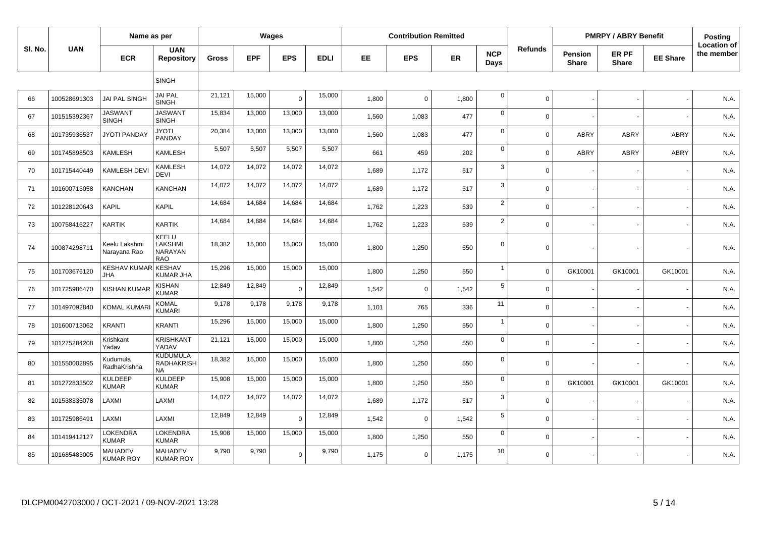|         |              | Name as per                              |                                                   |              |            | Wages       |             |       | <b>Contribution Remitted</b> |       |                           |                |                         | <b>PMRPY / ABRY Benefit</b> |                 | Posting                          |
|---------|--------------|------------------------------------------|---------------------------------------------------|--------------|------------|-------------|-------------|-------|------------------------------|-------|---------------------------|----------------|-------------------------|-----------------------------|-----------------|----------------------------------|
| SI. No. | <b>UAN</b>   | <b>ECR</b>                               | <b>UAN</b><br><b>Repository</b>                   | <b>Gross</b> | <b>EPF</b> | <b>EPS</b>  | <b>EDLI</b> | EE    | <b>EPS</b>                   | ER    | <b>NCP</b><br><b>Days</b> | <b>Refunds</b> | Pension<br><b>Share</b> | ER PF<br><b>Share</b>       | <b>EE Share</b> | <b>Location of</b><br>the member |
|         |              |                                          | <b>SINGH</b>                                      |              |            |             |             |       |                              |       |                           |                |                         |                             |                 |                                  |
| 66      | 100528691303 | <b>JAI PAL SINGH</b>                     | <b>JAI PAL</b><br><b>SINGH</b>                    | 21,121       | 15,000     | $\mathbf 0$ | 15,000      | 1,800 | $\mathbf 0$                  | 1,800 | $\pmb{0}$                 | $\Omega$       |                         |                             |                 | N.A.                             |
| 67      | 101515392367 | <b>JASWANT</b><br><b>SINGH</b>           | <b>JASWANT</b><br><b>SINGH</b>                    | 15,834       | 13,000     | 13,000      | 13,000      | 1,560 | 1,083                        | 477   | $\mathbf 0$               | $\mathbf 0$    |                         |                             |                 | N.A.                             |
| 68      | 101735936537 | <b>JYOTI PANDAY</b>                      | <b>JYOTI</b><br>PANDAY                            | 20,384       | 13,000     | 13,000      | 13,000      | 1,560 | 1,083                        | 477   | $\mathbf 0$               | $\Omega$       | ABRY                    | <b>ABRY</b>                 | ABRY            | N.A.                             |
| 69      | 101745898503 | <b>KAMLESH</b>                           | <b>KAMLESH</b>                                    | 5,507        | 5,507      | 5,507       | 5,507       | 661   | 459                          | 202   | $\mathbf 0$               | $\Omega$       | ABRY                    | <b>ABRY</b>                 | <b>ABRY</b>     | N.A.                             |
| 70      | 101715440449 | <b>KAMLESH DEV</b>                       | <b>KAMLESH</b><br><b>DEVI</b>                     | 14,072       | 14,072     | 14,072      | 14,072      | 1,689 | 1,172                        | 517   | $\mathbf{3}$              | $\mathbf 0$    |                         |                             |                 | N.A.                             |
| 71      | 101600713058 | <b>KANCHAN</b>                           | <b>KANCHAN</b>                                    | 14,072       | 14,072     | 14,072      | 14,072      | 1,689 | 1,172                        | 517   | 3                         | $\Omega$       |                         |                             |                 | N.A.                             |
| 72      | 101228120643 | <b>KAPIL</b>                             | <b>KAPIL</b>                                      | 14,684       | 14,684     | 14,684      | 14,684      | 1,762 | 1,223                        | 539   | $\overline{2}$            | $\Omega$       |                         |                             |                 | N.A.                             |
| 73      | 100758416227 | <b>KARTIK</b>                            | <b>KARTIK</b>                                     | 14,684       | 14,684     | 14,684      | 14,684      | 1,762 | 1,223                        | 539   | $\overline{2}$            | $\mathbf 0$    |                         |                             |                 | N.A.                             |
| 74      | 100874298711 | Keelu Lakshmi<br>Narayana Rao            | KEELU<br>LAKSHMI<br><b>NARAYAN</b><br><b>RAO</b>  | 18,382       | 15,000     | 15,000      | 15,000      | 1,800 | 1,250                        | 550   | $\mathbf 0$               | $\Omega$       |                         |                             |                 | N.A.                             |
| 75      | 101703676120 | <b>KESHAV KUMAR KESHAV</b><br><b>JHA</b> | <b>KUMAR JHA</b>                                  | 15,296       | 15,000     | 15,000      | 15,000      | 1,800 | 1,250                        | 550   | $\overline{1}$            | $\Omega$       | GK10001                 | GK10001                     | GK10001         | N.A.                             |
| 76      | 101725986470 | <b>KISHAN KUMAF</b>                      | <b>KISHAN</b><br><b>KUMAR</b>                     | 12,849       | 12,849     | $\mathbf 0$ | 12,849      | 1,542 | $\Omega$                     | 1,542 | $\sqrt{5}$                | $\Omega$       |                         |                             |                 | N.A.                             |
| 77      | 101497092840 | <b>KOMAL KUMAR</b>                       | <b>KOMAL</b><br><b>KUMARI</b>                     | 9,178        | 9,178      | 9,178       | 9,178       | 1,101 | 765                          | 336   | 11                        | $\mathbf 0$    |                         |                             |                 | N.A.                             |
| 78      | 101600713062 | <b>KRANTI</b>                            | <b>KRANTI</b>                                     | 15,296       | 15,000     | 15,000      | 15,000      | 1,800 | 1,250                        | 550   | $\overline{1}$            | $\Omega$       |                         |                             |                 | N.A.                             |
| 79      | 101275284208 | Krishkant<br>Yadav                       | <b>KRISHKANT</b><br>YADAV                         | 21,121       | 15,000     | 15,000      | 15,000      | 1,800 | 1,250                        | 550   | $\mathbf 0$               | $\Omega$       |                         |                             |                 | N.A.                             |
| 80      | 101550002895 | Kudumula<br>RadhaKrishna                 | <b>KUDUMULA</b><br><b>RADHAKRISH</b><br><b>NA</b> | 18,382       | 15,000     | 15,000      | 15,000      | 1,800 | 1.250                        | 550   | $\mathbf 0$               | $\Omega$       |                         |                             |                 | N.A.                             |
| 81      | 101272833502 | <b>KULDEEP</b><br><b>KUMAR</b>           | <b>KULDEEP</b><br><b>KUMAR</b>                    | 15,908       | 15,000     | 15,000      | 15,000      | 1,800 | 1,250                        | 550   | $\mathbf 0$               | $\Omega$       | GK10001                 | GK10001                     | GK10001         | N.A.                             |
| 82      | 101538335078 | LAXMI                                    | LAXMI                                             | 14,072       | 14,072     | 14,072      | 14,072      | 1,689 | 1,172                        | 517   | $\mathbf{3}$              | $\mathbf 0$    |                         |                             |                 | N.A.                             |
| 83      | 101725986491 | LAXMI                                    | LAXMI                                             | 12,849       | 12,849     | $\mathbf 0$ | 12,849      | 1,542 | $\mathbf 0$                  | 1,542 | $5\phantom{.0}$           | $\mathbf 0$    |                         |                             |                 | N.A.                             |
| 84      | 101419412127 | LOKENDRA<br><b>KUMAR</b>                 | <b>LOKENDRA</b><br><b>KUMAR</b>                   | 15,908       | 15,000     | 15,000      | 15,000      | 1,800 | 1,250                        | 550   | $\mathbf 0$               | $\Omega$       |                         |                             |                 | N.A.                             |
| 85      | 101685483005 | <b>MAHADEV</b><br><b>KUMAR ROY</b>       | <b>MAHADEV</b><br><b>KUMAR ROY</b>                | 9,790        | 9,790      | $\mathbf 0$ | 9,790       | 1,175 | $\mathbf 0$                  | 1,175 | 10                        | $\mathbf 0$    |                         |                             |                 | N.A.                             |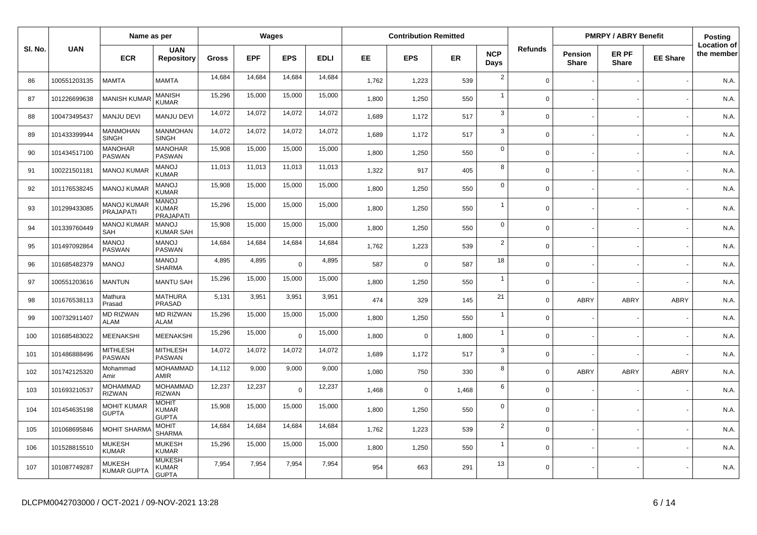|         |              | Name as per                            |                                                  |              |            | Wages      |        |       | <b>Contribution Remitted</b> |       |                    |                |                                | <b>PMRPY / ABRY Benefit</b> |                 | Posting                          |
|---------|--------------|----------------------------------------|--------------------------------------------------|--------------|------------|------------|--------|-------|------------------------------|-------|--------------------|----------------|--------------------------------|-----------------------------|-----------------|----------------------------------|
| SI. No. | <b>UAN</b>   | <b>ECR</b>                             | <b>UAN</b><br><b>Repository</b>                  | <b>Gross</b> | <b>EPF</b> | <b>EPS</b> | EDLI   | EE.   | <b>EPS</b>                   | ER    | <b>NCP</b><br>Days | <b>Refunds</b> | <b>Pension</b><br><b>Share</b> | ER PF<br><b>Share</b>       | <b>EE Share</b> | <b>Location of</b><br>the member |
| 86      | 100551203135 | <b>MAMTA</b>                           | <b>MAMTA</b>                                     | 14,684       | 14,684     | 14,684     | 14,684 | 1,762 | 1,223                        | 539   | $\overline{2}$     | $\Omega$       |                                |                             |                 | N.A.                             |
| 87      | 101226699638 | <b>MANISH KUMAF</b>                    | <b>MANISH</b><br><b>KUMAR</b>                    | 15,296       | 15,000     | 15,000     | 15,000 | 1,800 | 1,250                        | 550   | $\overline{1}$     | $\Omega$       |                                |                             |                 | N.A.                             |
| 88      | 100473495437 | <b>MANJU DEVI</b>                      | <b>MANJU DEVI</b>                                | 14,072       | 14,072     | 14,072     | 14,072 | 1,689 | 1,172                        | 517   | 3                  | $\Omega$       |                                |                             |                 | N.A.                             |
| 89      | 101433399944 | MANMOHAN<br><b>SINGH</b>               | <b>MANMOHAN</b><br><b>SINGH</b>                  | 14,072       | 14,072     | 14,072     | 14,072 | 1.689 | 1,172                        | 517   | 3                  | $\Omega$       |                                |                             |                 | N.A.                             |
| 90      | 101434517100 | <b>MANOHAR</b><br><b>PASWAN</b>        | <b>MANOHAR</b><br><b>PASWAN</b>                  | 15,908       | 15,000     | 15,000     | 15,000 | 1,800 | 1,250                        | 550   | $\mathbf 0$        | $\Omega$       |                                |                             |                 | N.A.                             |
| 91      | 100221501181 | <b>MANOJ KUMAF</b>                     | <b>MANOJ</b><br><b>KUMAR</b>                     | 11,013       | 11,013     | 11,013     | 11,013 | 1,322 | 917                          | 405   | 8                  | $\Omega$       |                                |                             |                 | N.A.                             |
| 92      | 101176538245 | <b>MANOJ KUMAR</b>                     | <b>MANOJ</b><br><b>KUMAR</b>                     | 15,908       | 15,000     | 15,000     | 15,000 | 1,800 | 1,250                        | 550   | $\mathbf 0$        | $\Omega$       |                                |                             |                 | N.A.                             |
| 93      | 101299433085 | <b>MANOJ KUMAR</b><br><b>PRAJAPATI</b> | <b>MANOJ</b><br><b>KUMAR</b><br><b>PRAJAPATI</b> | 15,296       | 15,000     | 15,000     | 15,000 | 1,800 | 1,250                        | 550   | $\overline{1}$     | $\Omega$       |                                |                             |                 | N.A.                             |
| 94      | 101339760449 | <b>MANOJ KUMAR</b><br><b>SAH</b>       | <b>MANOJ</b><br>KUMAR SAH                        | 15,908       | 15,000     | 15,000     | 15,000 | 1,800 | 1,250                        | 550   | $\mathbf 0$        | $\Omega$       |                                |                             |                 | N.A.                             |
| 95      | 101497092864 | <b>MANOJ</b><br><b>PASWAN</b>          | <b>MANOJ</b><br><b>PASWAN</b>                    | 14,684       | 14,684     | 14,684     | 14,684 | 1,762 | 1,223                        | 539   | $\overline{2}$     | $\Omega$       |                                |                             |                 | N.A.                             |
| 96      | 101685482379 | <b>MANOJ</b>                           | <b>MANOJ</b><br><b>SHARMA</b>                    | 4,895        | 4,895      | $\Omega$   | 4,895  | 587   | $\Omega$                     | 587   | 18                 | $\Omega$       |                                |                             |                 | N.A.                             |
| 97      | 100551203616 | <b>MANTUN</b>                          | <b>MANTU SAH</b>                                 | 15,296       | 15,000     | 15,000     | 15,000 | 1,800 | 1,250                        | 550   | $\overline{1}$     | $\Omega$       |                                |                             |                 | N.A.                             |
| 98      | 101676538113 | Mathura<br>Prasad                      | MATHURA<br><b>PRASAD</b>                         | 5,131        | 3,951      | 3,951      | 3,951  | 474   | 329                          | 145   | 21                 | $\Omega$       | ABRY                           | <b>ABRY</b>                 | <b>ABRY</b>     | N.A.                             |
| 99      | 100732911407 | <b>MD RIZWAN</b><br><b>ALAM</b>        | <b>MD RIZWAN</b><br><b>ALAM</b>                  | 15,296       | 15,000     | 15,000     | 15,000 | 1,800 | 1,250                        | 550   | $\overline{1}$     | $\mathbf 0$    |                                |                             |                 | N.A.                             |
| 100     | 101685483022 | MEENAKSHI                              | <b>MEENAKSHI</b>                                 | 15,296       | 15,000     | $\Omega$   | 15,000 | 1,800 | $\mathbf 0$                  | 1,800 | $\overline{1}$     | $\mathbf 0$    |                                |                             |                 | N.A.                             |
| 101     | 101486888496 | <b>MITHLESH</b><br><b>PASWAN</b>       | <b>MITHLESH</b><br><b>PASWAN</b>                 | 14,072       | 14,072     | 14,072     | 14,072 | 1,689 | 1,172                        | 517   | $\mathbf{3}$       | $\mathbf 0$    |                                |                             |                 | N.A.                             |
| 102     | 101742125320 | Mohammad<br>Amir                       | <b>MOHAMMAD</b><br><b>AMIR</b>                   | 14,112       | 9,000      | 9,000      | 9,000  | 1,080 | 750                          | 330   | 8                  | $\mathbf 0$    | ABRY                           | ABRY                        | <b>ABRY</b>     | N.A.                             |
| 103     | 101693210537 | <b>MOHAMMAD</b><br><b>RIZWAN</b>       | <b>MOHAMMAD</b><br><b>RIZWAN</b>                 | 12,237       | 12,237     | $\Omega$   | 12,237 | 1,468 | $\mathbf 0$                  | 1,468 | 6                  | $\mathbf 0$    |                                |                             |                 | N.A.                             |
| 104     | 101454635198 | <b>MOHIT KUMAR</b><br><b>GUPTA</b>     | <b>MOHIT</b><br><b>KUMAR</b><br><b>GUPTA</b>     | 15,908       | 15,000     | 15,000     | 15,000 | 1.800 | 1,250                        | 550   | $\mathbf 0$        | $\Omega$       |                                |                             |                 | N.A.                             |
| 105     | 101068695846 | <b>MOHIT SHARM</b>                     | <b>MOHIT</b><br><b>SHARMA</b>                    | 14,684       | 14,684     | 14,684     | 14,684 | 1,762 | 1,223                        | 539   | $\overline{2}$     | $\Omega$       |                                |                             |                 | N.A.                             |
| 106     | 101528815510 | <b>MUKESH</b><br><b>KUMAR</b>          | <b>MUKESH</b><br><b>KUMAR</b>                    | 15,296       | 15,000     | 15,000     | 15,000 | 1,800 | 1,250                        | 550   | $\overline{1}$     | $\mathbf 0$    |                                |                             |                 | N.A.                             |
| 107     | 101087749287 | MUKESH<br><b>KUMAR GUPTA</b>           | <b>MUKESH</b><br><b>KUMAR</b><br><b>GUPTA</b>    | 7,954        | 7,954      | 7,954      | 7,954  | 954   | 663                          | 291   | 13                 | $\mathbf 0$    |                                |                             |                 | N.A.                             |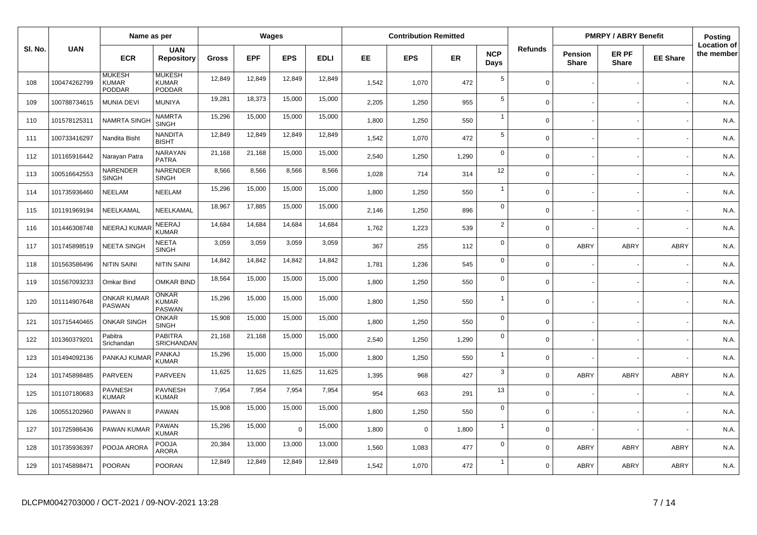|         |              | Name as per                                    |                                               |        |            | Wages      |             |       | <b>Contribution Remitted</b> |           |                    |                |                                | <b>PMRPY / ABRY Benefit</b> |                 | Posting                          |
|---------|--------------|------------------------------------------------|-----------------------------------------------|--------|------------|------------|-------------|-------|------------------------------|-----------|--------------------|----------------|--------------------------------|-----------------------------|-----------------|----------------------------------|
| SI. No. | <b>UAN</b>   | <b>ECR</b>                                     | <b>UAN</b><br><b>Repository</b>               | Gross  | <b>EPF</b> | <b>EPS</b> | <b>EDLI</b> | EE.   | <b>EPS</b>                   | <b>ER</b> | <b>NCP</b><br>Days | <b>Refunds</b> | <b>Pension</b><br><b>Share</b> | ER PF<br><b>Share</b>       | <b>EE Share</b> | <b>Location of</b><br>the member |
| 108     | 100474262799 | <b>MUKESH</b><br><b>KUMAR</b><br><b>PODDAR</b> | <b>MUKESH</b><br>KUMAR<br><b>PODDAR</b>       | 12,849 | 12,849     | 12,849     | 12,849      | 1,542 | 1,070                        | 472       | 5                  | $\Omega$       |                                |                             |                 | N.A.                             |
| 109     | 100788734615 | <b>MUNIA DEVI</b>                              | <b>MUNIYA</b>                                 | 19,281 | 18,373     | 15,000     | 15,000      | 2,205 | 1,250                        | 955       | 5                  | $\Omega$       |                                |                             |                 | N.A.                             |
| 110     | 101578125311 | <b>NAMRTA SING</b>                             | <b>NAMRTA</b><br><b>SINGH</b>                 | 15,296 | 15,000     | 15,000     | 15,000      | 1,800 | 1,250                        | 550       | $\overline{1}$     | $\mathbf 0$    |                                |                             |                 | N.A.                             |
| 111     | 100733416297 | Nandita Bisht                                  | <b>NANDITA</b><br><b>BISHT</b>                | 12,849 | 12,849     | 12,849     | 12,849      | 1,542 | 1,070                        | 472       | 5                  | $\Omega$       |                                |                             |                 | N.A.                             |
| 112     | 101165916442 | Narayan Patra                                  | <b>NARAYAN</b><br><b>PATRA</b>                | 21,168 | 21,168     | 15,000     | 15,000      | 2.540 | 1,250                        | 1,290     | $\mathbf 0$        | $\Omega$       |                                |                             |                 | N.A.                             |
| 113     | 100516642553 | NARENDER<br><b>SINGH</b>                       | NARENDER<br><b>SINGH</b>                      | 8,566  | 8,566      | 8,566      | 8,566       | 1,028 | 714                          | 314       | 12                 | $\Omega$       |                                |                             |                 | N.A.                             |
| 114     | 101735936460 | <b>NEELAM</b>                                  | NEELAM                                        | 15,296 | 15,000     | 15,000     | 15,000      | 1,800 | 1,250                        | 550       | $\overline{1}$     | $\Omega$       |                                |                             |                 | N.A.                             |
| 115     | 101191969194 | NEELKAMAL                                      | NEELKAMAL                                     | 18,967 | 17,885     | 15,000     | 15,000      | 2.146 | 1,250                        | 896       | $\mathbf 0$        | $\Omega$       |                                |                             |                 | N.A.                             |
| 116     | 101446308748 | <b>NEERAJ KUMAF</b>                            | NEERAJ<br><b>KUMAR</b>                        | 14,684 | 14,684     | 14,684     | 14,684      | 1,762 | 1,223                        | 539       | $\overline{2}$     | $\Omega$       |                                |                             |                 | N.A.                             |
| 117     | 101745898519 | <b>NEETA SINGH</b>                             | <b>NEETA</b><br><b>SINGH</b>                  | 3,059  | 3,059      | 3,059      | 3,059       | 367   | 255                          | 112       | $\mathbf 0$        | $\Omega$       | ABRY                           | <b>ABRY</b>                 | <b>ABRY</b>     | N.A.                             |
| 118     | 101563586496 | <b>NITIN SAINI</b>                             | <b>NITIN SAINI</b>                            | 14,842 | 14,842     | 14,842     | 14,842      | 1,781 | 1,236                        | 545       | $\mathbf 0$        | $\Omega$       |                                |                             |                 | N.A.                             |
| 119     | 101567093233 | Omkar Bind                                     | <b>OMKAR BIND</b>                             | 18,564 | 15,000     | 15,000     | 15,000      | 1,800 | 1,250                        | 550       | $\mathbf 0$        | $\Omega$       |                                |                             |                 | N.A.                             |
| 120     | 101114907648 | <b>ONKAR KUMAF</b><br>PASWAN                   | <b>ONKAR</b><br><b>KUMAR</b><br><b>PASWAN</b> | 15,296 | 15,000     | 15,000     | 15,000      | 1,800 | 1,250                        | 550       | -1                 | $\mathbf 0$    |                                |                             |                 | N.A.                             |
| 121     | 101715440465 | <b>ONKAR SINGH</b>                             | <b>ONKAR</b><br><b>SINGH</b>                  | 15,908 | 15,000     | 15,000     | 15,000      | 1,800 | 1,250                        | 550       | $\mathsf 0$        | $\Omega$       |                                |                             |                 | N.A.                             |
| 122     | 101360379201 | Pabitra<br>Srichandan                          | <b>PABITRA</b><br>SRICHANDAN                  | 21,168 | 21,168     | 15,000     | 15,000      | 2,540 | 1,250                        | 1,290     | $\mathbf 0$        | $\mathbf 0$    |                                |                             |                 | N.A.                             |
| 123     | 101494092136 | PANKAJ KUMAF                                   | PANKAJ<br><b>KUMAR</b>                        | 15,296 | 15,000     | 15,000     | 15,000      | 1,800 | 1,250                        | 550       | $\overline{1}$     | $\mathbf 0$    |                                |                             |                 | N.A.                             |
| 124     | 101745898485 | <b>PARVEEN</b>                                 | <b>PARVEEN</b>                                | 11,625 | 11,625     | 11,625     | 11,625      | 1,395 | 968                          | 427       | 3                  | $\Omega$       | ABRY                           | <b>ABRY</b>                 | ABRY            | N.A.                             |
| 125     | 101107180683 | <b>PAVNESH</b><br>KUMAR                        | <b>PAVNESH</b><br><b>KUMAR</b>                | 7,954  | 7,954      | 7,954      | 7,954       | 954   | 663                          | 291       | 13                 | $\mathbf 0$    |                                |                             |                 | N.A.                             |
| 126     | 100551202960 | PAWAN II                                       | <b>PAWAN</b>                                  | 15,908 | 15,000     | 15,000     | 15,000      | 1.800 | 1,250                        | 550       | $\mathbf 0$        | $\Omega$       |                                |                             |                 | N.A.                             |
| 127     | 101725986436 | PAWAN KUMAR                                    | <b>PAWAN</b><br>KUMAR                         | 15,296 | 15,000     | $\Omega$   | 15,000      | 1,800 | $\mathbf 0$                  | 1,800     | $\overline{1}$     | $\mathbf 0$    |                                |                             |                 | N.A.                             |
| 128     | 101735936397 | POOJA ARORA                                    | <b>POOJA</b><br><b>ARORA</b>                  | 20,384 | 13,000     | 13,000     | 13,000      | 1,560 | 1,083                        | 477       | $\mathbf 0$        | $\mathbf 0$    | ABRY                           | <b>ABRY</b>                 | <b>ABRY</b>     | N.A.                             |
| 129     | 101745898471 | <b>POORAN</b>                                  | <b>POORAN</b>                                 | 12,849 | 12,849     | 12,849     | 12,849      | 1.542 | 1,070                        | 472       | -1                 | $\Omega$       | <b>ABRY</b>                    | <b>ABRY</b>                 | <b>ABRY</b>     | N.A.                             |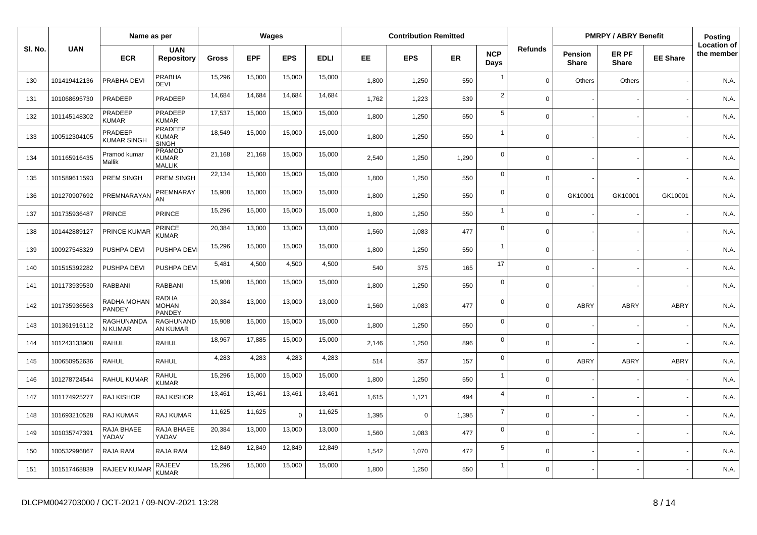|         |              | Name as per                   |                                                |        | Wages      |                |             | <b>Contribution Remitted</b> |            |           |                    |                | <b>PMRPY / ABRY Benefit</b>    |                       | <b>Posting</b>  |                                  |
|---------|--------------|-------------------------------|------------------------------------------------|--------|------------|----------------|-------------|------------------------------|------------|-----------|--------------------|----------------|--------------------------------|-----------------------|-----------------|----------------------------------|
| SI. No. | <b>UAN</b>   | <b>ECR</b>                    | <b>UAN</b><br><b>Repository</b>                | Gross  | <b>EPF</b> | <b>EPS</b>     | <b>EDLI</b> | EE.                          | <b>EPS</b> | <b>ER</b> | <b>NCP</b><br>Days | <b>Refunds</b> | <b>Pension</b><br><b>Share</b> | ER PF<br><b>Share</b> | <b>EE Share</b> | <b>Location of</b><br>the member |
| 130     | 101419412136 | PRABHA DEVI                   | <b>PRABHA</b><br><b>DEVI</b>                   | 15,296 | 15,000     | 15,000         | 15,000      | 1,800                        | 1,250      | 550       | $\overline{1}$     | $\Omega$       | Others                         | Others                |                 | N.A.                             |
| 131     | 101068695730 | PRADEEP                       | PRADEEP                                        | 14,684 | 14,684     | 14,684         | 14,684      | 1,762                        | 1,223      | 539       | $\sqrt{2}$         | $\Omega$       |                                |                       |                 | N.A.                             |
| 132     | 101145148302 | PRADEEP<br><b>KUMAR</b>       | PRADEEP<br><b>KUMAR</b>                        | 17,537 | 15,000     | 15,000         | 15,000      | 1,800                        | 1,250      | 550       | $\sqrt{5}$         | $\mathbf 0$    |                                |                       |                 | N.A.                             |
| 133     | 100512304105 | PRADEEP<br><b>KUMAR SINGH</b> | <b>PRADEEP</b><br><b>KUMAR</b><br><b>SINGH</b> | 18,549 | 15,000     | 15,000         | 15,000      | 1,800                        | 1,250      | 550       | $\overline{1}$     | $\Omega$       |                                |                       |                 | N.A.                             |
| 134     | 101165916435 | Pramod kumar<br>Mallik        | <b>PRAMOD</b><br><b>KUMAR</b><br><b>MALLIK</b> | 21,168 | 21,168     | 15,000         | 15,000      | 2,540                        | 1,250      | 1,290     | $\mathbf 0$        | $\mathbf 0$    |                                |                       |                 | N.A.                             |
| 135     | 101589611593 | PREM SINGH                    | PREM SINGH                                     | 22,134 | 15,000     | 15,000         | 15,000      | 1,800                        | 1,250      | 550       | $\mathbf 0$        | $\mathbf 0$    |                                |                       |                 | N.A.                             |
| 136     | 101270907692 | PREMNARAYAN                   | PREMNARAY<br>AN                                | 15,908 | 15,000     | 15,000         | 15,000      | 1,800                        | 1,250      | 550       | $\pmb{0}$          | $\mathbf 0$    | GK10001                        | GK10001               | GK10001         | N.A.                             |
| 137     | 101735936487 | <b>PRINCE</b>                 | <b>PRINCE</b>                                  | 15,296 | 15,000     | 15,000         | 15,000      | 1,800                        | 1,250      | 550       | $\overline{1}$     | $\mathbf 0$    |                                |                       |                 | N.A.                             |
| 138     | 101442889127 | PRINCE KUMAR                  | <b>PRINCE</b><br>KUMAR                         | 20,384 | 13,000     | 13,000         | 13,000      | 1,560                        | 1,083      | 477       | $\mathbf 0$        | $\mathbf 0$    |                                |                       |                 | N.A.                             |
| 139     | 100927548329 | PUSHPA DEVI                   | PUSHPA DEVI                                    | 15,296 | 15,000     | 15,000         | 15,000      | 1,800                        | 1,250      | 550       | $\overline{1}$     | $\Omega$       |                                |                       |                 | N.A.                             |
| 140     | 101515392282 | PUSHPA DEVI                   | PUSHPA DEVI                                    | 5,481  | 4,500      | 4,500          | 4,500       | 540                          | 375        | 165       | 17                 | $\Omega$       |                                |                       |                 | N.A.                             |
| 141     | 101173939530 | <b>RABBANI</b>                | <b>RABBANI</b>                                 | 15,908 | 15,000     | 15,000         | 15,000      | 1,800                        | 1,250      | 550       | $\mathbf 0$        | $\mathbf 0$    |                                |                       |                 | N.A.                             |
| 142     | 101735936563 | RADHA MOHAN<br>PANDEY         | <b>RADHA</b><br><b>MOHAN</b><br>PANDEY         | 20,384 | 13,000     | 13,000         | 13,000      | 1,560                        | 1,083      | 477       | $\mathbf 0$        | $\mathbf 0$    | ABRY                           | <b>ABRY</b>           | <b>ABRY</b>     | N.A.                             |
| 143     | 101361915112 | RAGHUNANDA<br>N KUMAR         | RAGHUNAND<br>AN KUMAR                          | 15,908 | 15,000     | 15,000         | 15,000      | 1,800                        | 1,250      | 550       | $\mathbf 0$        | $\Omega$       |                                |                       |                 | N.A.                             |
| 144     | 101243133908 | <b>RAHUL</b>                  | <b>RAHUL</b>                                   | 18,967 | 17,885     | 15,000         | 15,000      | 2,146                        | 1,250      | 896       | $\mathbf 0$        | $\mathbf 0$    |                                |                       |                 | N.A.                             |
| 145     | 100650952636 | <b>RAHUL</b>                  | <b>RAHUL</b>                                   | 4,283  | 4,283      | 4,283          | 4,283       | 514                          | 357        | 157       | $\mathbf 0$        | $\mathbf 0$    | <b>ABRY</b>                    | <b>ABRY</b>           | <b>ABRY</b>     | N.A.                             |
| 146     | 101278724544 | <b>RAHUL KUMAR</b>            | <b>RAHUL</b><br><b>KUMAR</b>                   | 15,296 | 15,000     | 15,000         | 15,000      | 1,800                        | 1,250      | 550       | $\overline{1}$     | $\Omega$       |                                |                       |                 | N.A.                             |
| 147     | 101174925277 | <b>RAJ KISHOR</b>             | <b>RAJ KISHOR</b>                              | 13,461 | 13,461     | 13,461         | 13,461      | 1,615                        | 1,121      | 494       | $\overline{4}$     | $\Omega$       |                                |                       |                 | N.A.                             |
| 148     | 101693210528 | RAJ KUMAR                     | RAJ KUMAR                                      | 11,625 | 11,625     | $\overline{0}$ | 11,625      | 1,395                        | $\Omega$   | 1,395     | $\overline{7}$     | $\Omega$       |                                |                       |                 | N.A.                             |
| 149     | 101035747391 | RAJA BHAEE<br>YADAV           | RAJA BHAEE<br>YADAV                            | 20,384 | 13,000     | 13,000         | 13,000      | 1,560                        | 1,083      | 477       | $\mathsf 0$        | $\Omega$       |                                |                       |                 | N.A.                             |
| 150     | 100532996867 | RAJA RAM                      | RAJA RAM                                       | 12,849 | 12,849     | 12,849         | 12,849      | 1,542                        | 1,070      | 472       | $\sqrt{5}$         | $\Omega$       |                                |                       |                 | N.A.                             |
| 151     | 101517468839 | RAJEEV KUMAR                  | <b>RAJEEV</b><br><b>KUMAR</b>                  | 15,296 | 15,000     | 15,000         | 15,000      | 1,800                        | 1,250      | 550       | $\overline{1}$     | $\Omega$       |                                |                       |                 | N.A.                             |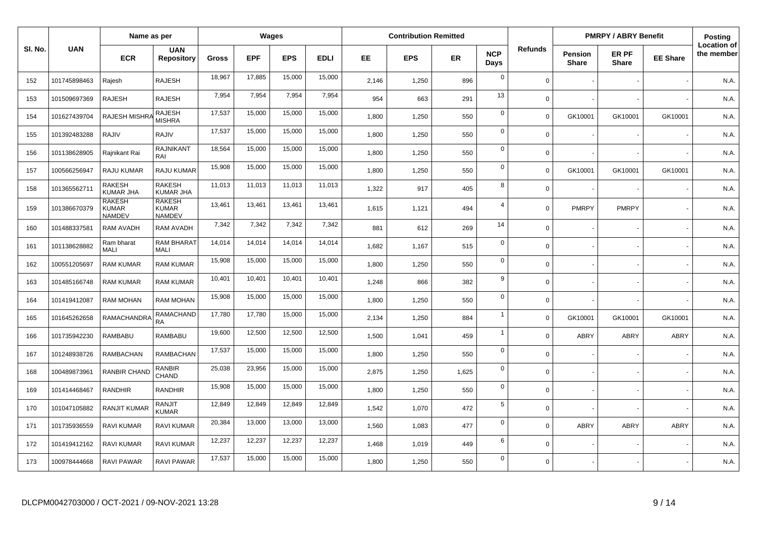|         |              | Name as per                                    |                                                |        |            | Wages      |             |       | <b>Contribution Remitted</b> |       |                    |                |                                | <b>PMRPY / ABRY Benefit</b> |                 | Posting                          |
|---------|--------------|------------------------------------------------|------------------------------------------------|--------|------------|------------|-------------|-------|------------------------------|-------|--------------------|----------------|--------------------------------|-----------------------------|-----------------|----------------------------------|
| SI. No. | <b>UAN</b>   | <b>ECR</b>                                     | <b>UAN</b><br><b>Repository</b>                | Gross  | <b>EPF</b> | <b>EPS</b> | <b>EDLI</b> | EE    | <b>EPS</b>                   | ER    | <b>NCP</b><br>Days | <b>Refunds</b> | <b>Pension</b><br><b>Share</b> | ER PF<br><b>Share</b>       | <b>EE Share</b> | <b>Location of</b><br>the member |
| 152     | 101745898463 | Rajesh                                         | RAJESH                                         | 18,967 | 17,885     | 15,000     | 15,000      | 2,146 | 1,250                        | 896   | $\mathbf 0$        | $\Omega$       |                                |                             |                 | N.A.                             |
| 153     | 101509697369 | <b>RAJESH</b>                                  | <b>RAJESH</b>                                  | 7,954  | 7,954      | 7,954      | 7,954       | 954   | 663                          | 291   | 13                 | $\Omega$       |                                |                             |                 | N.A.                             |
| 154     | 101627439704 | RAJESH MISHR.                                  | <b>RAJESH</b><br><b>MISHRA</b>                 | 17,537 | 15,000     | 15,000     | 15,000      | 1,800 | 1,250                        | 550   | $\mathbf 0$        | $\Omega$       | GK10001                        | GK10001                     | GK10001         | N.A.                             |
| 155     | 101392483288 | RAJIV                                          | RAJIV                                          | 17,537 | 15,000     | 15,000     | 15,000      | 1,800 | 1,250                        | 550   | $\mathbf 0$        | $\Omega$       |                                |                             |                 | N.A.                             |
| 156     | 101138628905 | Rajnikant Rai                                  | <b>RAJNIKANT</b><br>RAI                        | 18,564 | 15,000     | 15,000     | 15,000      | 1,800 | 1,250                        | 550   | $\mathbf 0$        | $\mathbf 0$    |                                |                             |                 | N.A.                             |
| 157     | 100566256947 | <b>RAJU KUMAR</b>                              | RAJU KUMAR                                     | 15,908 | 15,000     | 15,000     | 15,000      | 1,800 | 1,250                        | 550   | $\mathbf 0$        | $\Omega$       | GK10001                        | GK10001                     | GK10001         | N.A.                             |
| 158     | 101365562711 | <b>RAKESH</b><br><b>KUMAR JHA</b>              | <b>RAKESH</b><br><b>KUMAR JHA</b>              | 11,013 | 11,013     | 11,013     | 11,013      | 1,322 | 917                          | 405   | 8                  | $\Omega$       |                                |                             |                 | N.A.                             |
| 159     | 101386670379 | <b>RAKESH</b><br><b>KUMAR</b><br><b>NAMDEV</b> | <b>RAKESH</b><br><b>KUMAR</b><br><b>NAMDEV</b> | 13,461 | 13,461     | 13,461     | 13,461      | 1,615 | 1,121                        | 494   | $\overline{4}$     | $\Omega$       | <b>PMRPY</b>                   | <b>PMRPY</b>                |                 | N.A.                             |
| 160     | 101488337581 | <b>RAM AVADH</b>                               | RAM AVADH                                      | 7,342  | 7,342      | 7,342      | 7,342       | 881   | 612                          | 269   | 14                 | $\Omega$       |                                |                             |                 | N.A.                             |
| 161     | 101138628882 | Ram bharat<br>MALI                             | RAM BHARAT<br>MALI                             | 14,014 | 14,014     | 14,014     | 14,014      | 1,682 | 1,167                        | 515   | $\mathbf 0$        | $\Omega$       |                                |                             |                 | N.A.                             |
| 162     | 100551205697 | <b>RAM KUMAR</b>                               | <b>RAM KUMAR</b>                               | 15,908 | 15,000     | 15,000     | 15,000      | 1,800 | 1,250                        | 550   | $\mathbf 0$        | $\Omega$       |                                |                             |                 | N.A.                             |
| 163     | 101485166748 | <b>RAM KUMAR</b>                               | <b>RAM KUMAR</b>                               | 10,401 | 10,401     | 10,401     | 10,401      | 1,248 | 866                          | 382   | 9                  | $\Omega$       |                                |                             |                 | N.A.                             |
| 164     | 101419412087 | <b>RAM MOHAN</b>                               | <b>RAM MOHAN</b>                               | 15,908 | 15,000     | 15,000     | 15,000      | 1,800 | 1,250                        | 550   | $\mathbf 0$        | $\Omega$       |                                |                             |                 | N.A.                             |
| 165     | 101645262658 | RAMACHANDRA                                    | <b>RAMACHAND</b><br><b>RA</b>                  | 17,780 | 17,780     | 15,000     | 15,000      | 2,134 | 1,250                        | 884   | $\overline{1}$     | $\Omega$       | GK10001                        | GK10001                     | GK10001         | N.A.                             |
| 166     | 101735942230 | RAMBABU                                        | <b>RAMBABU</b>                                 | 19,600 | 12,500     | 12,500     | 12,500      | 1,500 | 1,041                        | 459   | $\overline{1}$     | $\Omega$       | ABRY                           | <b>ABRY</b>                 | <b>ABRY</b>     | N.A.                             |
| 167     | 101248938726 | <b>RAMBACHAN</b>                               | <b>RAMBACHAN</b>                               | 17,537 | 15,000     | 15,000     | 15,000      | 1.800 | 1,250                        | 550   | $\mathbf 0$        | $\Omega$       |                                |                             |                 | N.A.                             |
| 168     | 100489873961 | RANBIR CHAND                                   | <b>RANBIR</b><br>CHAND                         | 25.038 | 23.956     | 15,000     | 15,000      | 2,875 | 1,250                        | 1,625 | $\mathbf 0$        | $\Omega$       |                                |                             |                 | N.A.                             |
| 169     | 101414468467 | RANDHIR                                        | RANDHIR                                        | 15,908 | 15,000     | 15,000     | 15,000      | 1,800 | 1,250                        | 550   | $\mathbf 0$        | $\Omega$       |                                |                             |                 | N.A.                             |
| 170     | 101047105882 | <b>RANJIT KUMAR</b>                            | RANJIT<br><b>KUMAR</b>                         | 12.849 | 12.849     | 12,849     | 12,849      | 1,542 | 1,070                        | 472   | 5                  | $\Omega$       |                                |                             |                 | N.A.                             |
| 171     | 101735936559 | RAVI KUMAR                                     | RAVI KUMAR                                     | 20,384 | 13,000     | 13,000     | 13,000      | 1,560 | 1,083                        | 477   | $\mathbf 0$        | $\Omega$       | ABRY                           | <b>ABRY</b>                 | <b>ABRY</b>     | N.A.                             |
| 172     | 101419412162 | RAVI KUMAR                                     | RAVI KUMAR                                     | 12,237 | 12,237     | 12,237     | 12,237      | 1,468 | 1,019                        | 449   | 6                  | $\Omega$       |                                |                             |                 | N.A.                             |
| 173     | 100978444668 | <b>RAVI PAWAR</b>                              | RAVI PAWAR                                     | 17,537 | 15,000     | 15,000     | 15,000      | 1,800 | 1,250                        | 550   | $\mathbf 0$        | $\Omega$       |                                |                             |                 | N.A.                             |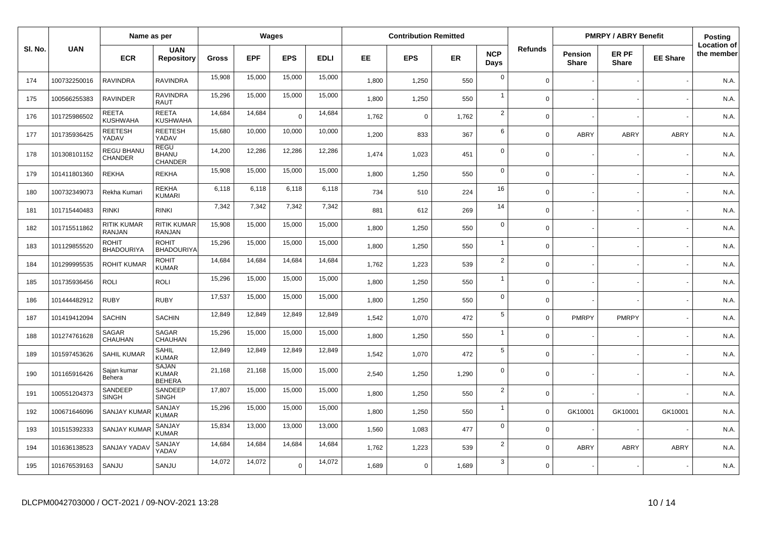|         |              | Name as per                         |                                               |              |            | Wages       |             |           | <b>Contribution Remitted</b> |           |                    |                |                         | <b>PMRPY / ABRY Benefit</b> |                 | Posting                          |
|---------|--------------|-------------------------------------|-----------------------------------------------|--------------|------------|-------------|-------------|-----------|------------------------------|-----------|--------------------|----------------|-------------------------|-----------------------------|-----------------|----------------------------------|
| SI. No. | <b>UAN</b>   | <b>ECR</b>                          | <b>UAN</b><br><b>Repository</b>               | <b>Gross</b> | <b>EPF</b> | <b>EPS</b>  | <b>EDLI</b> | <b>EE</b> | <b>EPS</b>                   | <b>ER</b> | <b>NCP</b><br>Days | <b>Refunds</b> | Pension<br><b>Share</b> | ER PF<br><b>Share</b>       | <b>EE Share</b> | <b>Location of</b><br>the member |
| 174     | 100732250016 | <b>RAVINDRA</b>                     | <b>RAVINDRA</b>                               | 15,908       | 15,000     | 15,000      | 15,000      | 1,800     | 1,250                        | 550       | $\mathbf 0$        | $\mathbf 0$    |                         |                             |                 | N.A.                             |
| 175     | 100566255383 | RAVINDER                            | <b>RAVINDRA</b><br>RAUT                       | 15,296       | 15,000     | 15,000      | 15,000      | 1,800     | 1,250                        | 550       | $\mathbf{1}$       | $\Omega$       |                         |                             |                 | N.A.                             |
| 176     | 101725986502 | <b>REETA</b><br>KUSHWAHA            | <b>REETA</b><br><b>KUSHWAHA</b>               | 14,684       | 14,684     | $\Omega$    | 14,684      | 1,762     | $\mathbf 0$                  | 1,762     | $\overline{2}$     | $\mathbf{0}$   |                         |                             |                 | N.A.                             |
| 177     | 101735936425 | <b>REETESH</b><br>YADAV             | <b>REETESH</b><br>YADAV                       | 15,680       | 10,000     | 10,000      | 10,000      | 1,200     | 833                          | 367       | 6                  | $\Omega$       | ABRY                    | ABRY                        | ABRY            | N.A.                             |
| 178     | 101308101152 | REGU BHANU<br><b>CHANDER</b>        | <b>REGU</b><br><b>BHANU</b><br><b>CHANDER</b> | 14,200       | 12,286     | 12,286      | 12,286      | 1,474     | 1,023                        | 451       | $\Omega$           | $\mathbf 0$    |                         |                             |                 | N.A.                             |
| 179     | 101411801360 | <b>REKHA</b>                        | <b>REKHA</b>                                  | 15,908       | 15,000     | 15,000      | 15,000      | 1,800     | 1,250                        | 550       | $\mathbf 0$        | $\mathbf 0$    |                         |                             |                 | N.A.                             |
| 180     | 100732349073 | Rekha Kumari                        | <b>REKHA</b><br><b>KUMARI</b>                 | 6,118        | 6,118      | 6,118       | 6,118       | 734       | 510                          | 224       | 16                 | $\mathbf 0$    |                         |                             |                 | N.A.                             |
| 181     | 101715440483 | <b>RINKI</b>                        | <b>RINKI</b>                                  | 7,342        | 7,342      | 7,342       | 7,342       | 881       | 612                          | 269       | 14                 | $\mathbf 0$    |                         |                             |                 | N.A.                             |
| 182     | 101715511862 | <b>RITIK KUMAR</b><br><b>RANJAN</b> | <b>RITIK KUMAR</b><br><b>RANJAN</b>           | 15,908       | 15,000     | 15,000      | 15,000      | 1,800     | 1,250                        | 550       | $\mathbf 0$        | $\mathbf 0$    |                         |                             |                 | N.A.                             |
| 183     | 101129855520 | <b>ROHIT</b><br><b>BHADOURIYA</b>   | <b>ROHIT</b><br><b>BHADOURIYA</b>             | 15,296       | 15,000     | 15,000      | 15,000      | 1,800     | 1,250                        | 550       | $\overline{1}$     | $\mathbf 0$    |                         |                             |                 | N.A.                             |
| 184     | 101299995535 | <b>ROHIT KUMAR</b>                  | <b>ROHIT</b><br><b>KUMAR</b>                  | 14,684       | 14,684     | 14,684      | 14,684      | 1,762     | 1,223                        | 539       | $\overline{2}$     | $\mathbf 0$    |                         |                             |                 | N.A.                             |
| 185     | 101735936456 | <b>ROLI</b>                         | <b>ROLI</b>                                   | 15,296       | 15,000     | 15,000      | 15,000      | 1,800     | 1,250                        | 550       | $\mathbf{1}$       | $\mathbf 0$    |                         |                             |                 | N.A.                             |
| 186     | 101444482912 | <b>RUBY</b>                         | <b>RUBY</b>                                   | 17,537       | 15,000     | 15,000      | 15,000      | 1,800     | 1,250                        | 550       | $\mathbf 0$        | $\mathbf 0$    |                         |                             |                 | N.A.                             |
| 187     | 101419412094 | <b>SACHIN</b>                       | <b>SACHIN</b>                                 | 12,849       | 12,849     | 12,849      | 12,849      | 1,542     | 1,070                        | 472       | 5                  | $\mathbf 0$    | <b>PMRPY</b>            | <b>PMRPY</b>                |                 | N.A.                             |
| 188     | 101274761628 | SAGAR<br>CHAUHAN                    | <b>SAGAR</b><br>CHAUHAN                       | 15,296       | 15,000     | 15,000      | 15,000      | 1,800     | 1,250                        | 550       | $\mathbf{1}$       | $\mathbf 0$    |                         |                             |                 | N.A.                             |
| 189     | 101597453626 | <b>SAHIL KUMAR</b>                  | <b>SAHIL</b><br><b>KUMAR</b>                  | 12,849       | 12,849     | 12,849      | 12,849      | 1,542     | 1,070                        | 472       | 5                  | $\mathbf 0$    |                         |                             |                 | N.A.                             |
| 190     | 101165916426 | Sajan kumar<br>Behera               | <b>SAJAN</b><br><b>KUMAR</b><br><b>BEHERA</b> | 21,168       | 21,168     | 15,000      | 15,000      | 2,540     | 1,250                        | 1,290     | $\Omega$           | $\overline{0}$ |                         |                             |                 | N.A.                             |
| 191     | 100551204373 | SANDEEP<br><b>SINGH</b>             | SANDEEP<br><b>SINGH</b>                       | 17,807       | 15,000     | 15,000      | 15,000      | 1,800     | 1,250                        | 550       | $\overline{2}$     | $\mathbf 0$    |                         |                             |                 | N.A.                             |
| 192     | 100671646096 | <b>SANJAY KUMA</b>                  | SANJAY<br>KUMAR                               | 15,296       | 15,000     | 15,000      | 15,000      | 1,800     | 1,250                        | 550       | $\mathbf{1}$       | $\mathbf 0$    | GK10001                 | GK10001                     | GK10001         | N.A.                             |
| 193     | 101515392333 | <b>SANJAY KUMAR</b>                 | SANJAY<br>KUMAR                               | 15,834       | 13,000     | 13,000      | 13,000      | 1,560     | 1,083                        | 477       | $\mathbf 0$        | $\mathbf 0$    |                         |                             |                 | N.A.                             |
| 194     | 101636138523 | SANJAY YADA                         | SANJAY<br>YADAV                               | 14,684       | 14,684     | 14,684      | 14,684      | 1,762     | 1,223                        | 539       | $\overline{2}$     | $\mathbf 0$    | <b>ABRY</b>             | <b>ABRY</b>                 | <b>ABRY</b>     | N.A.                             |
| 195     | 101676539163 | SANJU                               | SANJU                                         | 14,072       | 14,072     | $\mathbf 0$ | 14,072      | 1,689     | $\mathbf 0$                  | 1,689     | 3                  | $\mathbf 0$    |                         |                             |                 | N.A.                             |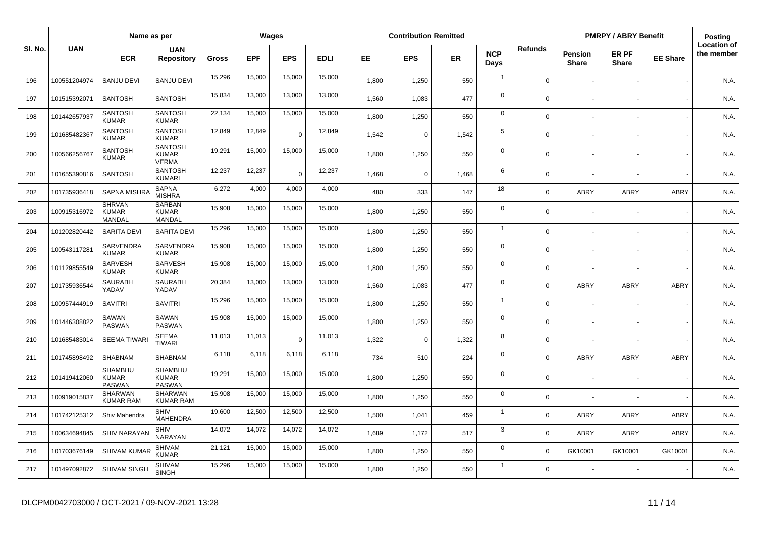|         |              | Name as per                                     |                                                 |        |            | Wages          |             |       | <b>Contribution Remitted</b> |       |                    |                |                                | <b>PMRPY / ABRY Benefit</b> |                 | <b>Posting</b>                   |
|---------|--------------|-------------------------------------------------|-------------------------------------------------|--------|------------|----------------|-------------|-------|------------------------------|-------|--------------------|----------------|--------------------------------|-----------------------------|-----------------|----------------------------------|
| SI. No. | <b>UAN</b>   | <b>ECR</b>                                      | <b>UAN</b><br><b>Repository</b>                 | Gross  | <b>EPF</b> | <b>EPS</b>     | <b>EDLI</b> | EE    | <b>EPS</b>                   | ER    | <b>NCP</b><br>Days | <b>Refunds</b> | <b>Pension</b><br><b>Share</b> | ER PF<br><b>Share</b>       | <b>EE Share</b> | <b>Location of</b><br>the member |
| 196     | 100551204974 | <b>SANJU DEVI</b>                               | <b>SANJU DEVI</b>                               | 15,296 | 15,000     | 15,000         | 15,000      | 1,800 | 1,250                        | 550   | $\overline{1}$     | $\Omega$       |                                |                             |                 | N.A.                             |
| 197     | 101515392071 | <b>SANTOSH</b>                                  | <b>SANTOSH</b>                                  | 15,834 | 13,000     | 13,000         | 13,000      | 1,560 | 1,083                        | 477   | $\mathbf 0$        | $\Omega$       |                                |                             |                 | N.A.                             |
| 198     | 101442657937 | <b>SANTOSH</b><br><b>KUMAR</b>                  | <b>SANTOSH</b><br><b>KUMAR</b>                  | 22,134 | 15,000     | 15,000         | 15,000      | 1,800 | 1,250                        | 550   | $\mathbf 0$        | $\Omega$       |                                |                             |                 | N.A.                             |
| 199     | 101685482367 | <b>SANTOSH</b><br><b>KUMAR</b>                  | <b>SANTOSH</b><br><b>KUMAR</b>                  | 12,849 | 12,849     | $\overline{0}$ | 12,849      | 1,542 | $\Omega$                     | 1,542 | 5                  | $\Omega$       |                                |                             |                 | N.A.                             |
| 200     | 100566256767 | <b>SANTOSH</b><br>KUMAR                         | <b>SANTOSH</b><br><b>KUMAR</b><br><b>VERMA</b>  | 19,291 | 15,000     | 15,000         | 15,000      | 1,800 | 1,250                        | 550   | $\mathbf 0$        | $\mathbf 0$    |                                |                             |                 | N.A.                             |
| 201     | 101655390816 | <b>SANTOSH</b>                                  | <b>SANTOSH</b><br><b>KUMARI</b>                 | 12,237 | 12,237     | $\overline{0}$ | 12,237      | 1,468 | $\Omega$                     | 1,468 | 6                  | $\Omega$       |                                |                             |                 | N.A.                             |
| 202     | 101735936418 | <b>SAPNA MISHR</b>                              | <b>SAPNA</b><br><b>MISHRA</b>                   | 6,272  | 4,000      | 4,000          | 4,000       | 480   | 333                          | 147   | 18                 | $\mathbf 0$    | <b>ABRY</b>                    | <b>ABRY</b>                 | <b>ABRY</b>     | N.A.                             |
| 203     | 100915316972 | <b>SHRVAN</b><br><b>KUMAR</b><br>MANDAL         | <b>SARBAN</b><br><b>KUMAR</b><br><b>MANDAL</b>  | 15,908 | 15,000     | 15,000         | 15,000      | 1,800 | 1,250                        | 550   | $\mathbf 0$        | $\Omega$       |                                |                             |                 | N.A.                             |
| 204     | 101202820442 | <b>SARITA DEVI</b>                              | <b>SARITA DEVI</b>                              | 15,296 | 15,000     | 15,000         | 15,000      | 1,800 | 1,250                        | 550   | $\overline{1}$     | $\Omega$       |                                |                             |                 | N.A.                             |
| 205     | 100543117281 | SARVENDRA<br><b>KUMAR</b>                       | SARVENDRA<br><b>KUMAR</b>                       | 15,908 | 15,000     | 15,000         | 15,000      | 1,800 | 1,250                        | 550   | $\mathbf 0$        | $\Omega$       |                                |                             |                 | N.A.                             |
| 206     | 101129855549 | SARVESH<br><b>KUMAR</b>                         | SARVESH<br><b>KUMAR</b>                         | 15,908 | 15,000     | 15,000         | 15,000      | 1,800 | 1,250                        | 550   | $\mathbf 0$        | $\Omega$       |                                |                             |                 | N.A.                             |
| 207     | 101735936544 | <b>SAURABH</b><br>YADAV                         | <b>SAURABH</b><br>YADAV                         | 20,384 | 13,000     | 13,000         | 13,000      | 1,560 | 1,083                        | 477   | $\mathbf 0$        | $\mathbf 0$    | ABRY                           | <b>ABRY</b>                 | <b>ABRY</b>     | N.A.                             |
| 208     | 100957444919 | <b>SAVITRI</b>                                  | <b>SAVITRI</b>                                  | 15,296 | 15,000     | 15,000         | 15,000      | 1,800 | 1,250                        | 550   | $\overline{1}$     | $\Omega$       |                                |                             |                 | N.A.                             |
| 209     | 101446308822 | SAWAN<br><b>PASWAN</b>                          | SAWAN<br><b>PASWAN</b>                          | 15,908 | 15,000     | 15,000         | 15,000      | 1,800 | 1,250                        | 550   | $\pmb{0}$          | $\Omega$       |                                |                             |                 | N.A.                             |
| 210     | 101685483014 | <b>SEEMA TIWAR</b>                              | <b>SEEMA</b><br><b>TIWARI</b>                   | 11,013 | 11,013     | $\overline{0}$ | 11,013      | 1.322 | $\Omega$                     | 1,322 | 8                  | $\Omega$       |                                |                             |                 | N.A.                             |
| 211     | 101745898492 | <b>SHABNAM</b>                                  | <b>SHABNAM</b>                                  | 6,118  | 6,118      | 6,118          | 6,118       | 734   | 510                          | 224   | $\mathbf 0$        | $\mathbf 0$    | <b>ABRY</b>                    | <b>ABRY</b>                 | <b>ABRY</b>     | N.A.                             |
| 212     | 101419412060 | <b>SHAMBHU</b><br><b>KUMAR</b><br><b>PASWAN</b> | <b>SHAMBHU</b><br><b>KUMAR</b><br><b>PASWAN</b> | 19,291 | 15,000     | 15,000         | 15,000      | 1,800 | 1,250                        | 550   | $\mathbf 0$        | $\Omega$       |                                |                             |                 | N.A.                             |
| 213     | 100919015837 | <b>SHARWAN</b><br><b>KUMAR RAM</b>              | SHARWAN<br><b>KUMAR RAM</b>                     | 15,908 | 15,000     | 15,000         | 15,000      | 1,800 | 1,250                        | 550   | $\mathbf 0$        | $\Omega$       |                                |                             |                 | N.A.                             |
| 214     | 101742125312 | Shiv Mahendra                                   | SHIV<br><b>MAHENDRA</b>                         | 19.600 | 12,500     | 12,500         | 12,500      | 1,500 | 1,041                        | 459   | $\overline{1}$     | $\mathbf 0$    | <b>ABRY</b>                    | <b>ABRY</b>                 | ABRY            | N.A.                             |
| 215     | 100634694845 | SHIV NARAYAM                                    | <b>SHIV</b><br>NARAYAN                          | 14,072 | 14,072     | 14,072         | 14,072      | 1,689 | 1,172                        | 517   | 3                  | $\Omega$       | ABRY                           | <b>ABRY</b>                 | <b>ABRY</b>     | N.A.                             |
| 216     | 101703676149 | <b>SHIVAM KUMAR</b>                             | <b>SHIVAM</b><br>KUMAR                          | 21,121 | 15,000     | 15,000         | 15,000      | 1,800 | 1,250                        | 550   | $\mathbf 0$        | $\Omega$       | GK10001                        | GK10001                     | GK10001         | N.A.                             |
| 217     | 101497092872 | SHIVAM SINGH                                    | <b>SHIVAM</b><br><b>SINGH</b>                   | 15,296 | 15,000     | 15,000         | 15,000      | 1,800 | 1,250                        | 550   | $\overline{1}$     | $\Omega$       |                                |                             |                 | N.A.                             |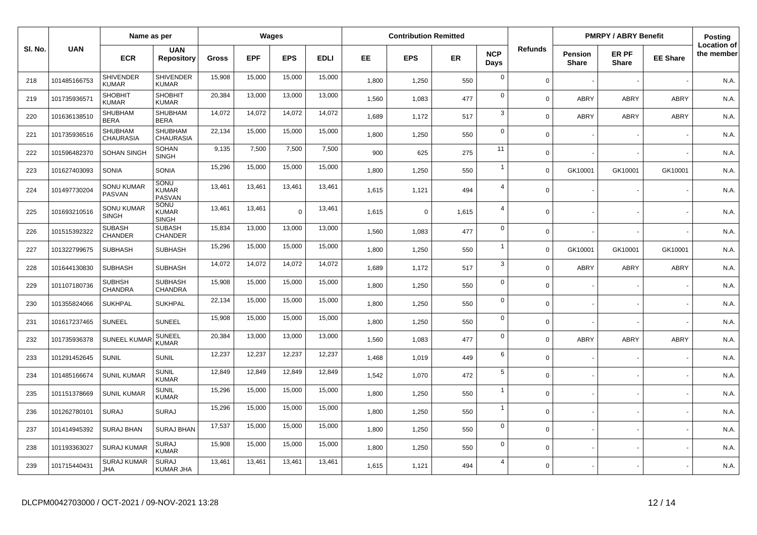|         |              | Name as per                      |                                      |              |            | Wages      |             |       | <b>Contribution Remitted</b> |       |                    |                |                                | <b>PMRPY / ABRY Benefit</b> |                 | Posting                          |
|---------|--------------|----------------------------------|--------------------------------------|--------------|------------|------------|-------------|-------|------------------------------|-------|--------------------|----------------|--------------------------------|-----------------------------|-----------------|----------------------------------|
| SI. No. | <b>UAN</b>   | <b>ECR</b>                       | <b>UAN</b><br><b>Repository</b>      | <b>Gross</b> | <b>EPF</b> | <b>EPS</b> | <b>EDLI</b> | EE    | <b>EPS</b>                   | ER    | <b>NCP</b><br>Days | <b>Refunds</b> | <b>Pension</b><br><b>Share</b> | ER PF<br><b>Share</b>       | <b>EE Share</b> | <b>Location of</b><br>the member |
| 218     | 101485166753 | <b>SHIVENDER</b><br><b>KUMAR</b> | <b>SHIVENDER</b><br><b>KUMAR</b>     | 15,908       | 15,000     | 15,000     | 15,000      | 1,800 | 1,250                        | 550   | $\mathbf 0$        | $\Omega$       |                                |                             |                 | N.A.                             |
| 219     | 101735936571 | <b>SHOBHIT</b><br><b>KUMAR</b>   | <b>SHOBHIT</b><br><b>KUMAR</b>       | 20,384       | 13,000     | 13,000     | 13,000      | 1,560 | 1,083                        | 477   | $\mathbf 0$        | $\Omega$       | ABRY                           | <b>ABRY</b>                 | ABRY            | N.A.                             |
| 220     | 101636138510 | SHUBHAM<br><b>BERA</b>           | SHUBHAM<br><b>BERA</b>               | 14,072       | 14,072     | 14,072     | 14,072      | 1,689 | 1,172                        | 517   | 3                  | $\Omega$       | ABRY                           | <b>ABRY</b>                 | ABRY            | N.A.                             |
| 221     | 101735936516 | SHUBHAM<br><b>CHAURASIA</b>      | <b>SHUBHAM</b><br><b>CHAURASIA</b>   | 22,134       | 15,000     | 15,000     | 15,000      | 1,800 | 1,250                        | 550   | $\mathbf 0$        | $\Omega$       |                                |                             |                 | N.A.                             |
| 222     | 101596482370 | <b>SOHAN SINGH</b>               | SOHAN<br><b>SINGH</b>                | 9,135        | 7,500      | 7,500      | 7,500       | 900   | 625                          | 275   | 11                 | $\Omega$       |                                |                             |                 | N.A.                             |
| 223     | 101627403093 | <b>SONIA</b>                     | <b>SONIA</b>                         | 15,296       | 15,000     | 15,000     | 15,000      | 1,800 | 1,250                        | 550   | $\overline{1}$     | $\Omega$       | GK10001                        | GK10001                     | GK10001         | N.A.                             |
| 224     | 101497730204 | SONU KUMAR<br>PASVAN             | SONU<br><b>KUMAR</b><br>PASVAN       | 13,461       | 13,461     | 13,461     | 13,461      | 1,615 | 1,121                        | 494   | $\overline{4}$     | $\Omega$       |                                |                             |                 | N.A.                             |
| 225     | 101693210516 | SONU KUMAR<br><b>SINGH</b>       | SONU<br><b>KUMAR</b><br><b>SINGH</b> | 13,461       | 13,461     | $\Omega$   | 13,461      | 1,615 | $\mathbf 0$                  | 1,615 | $\overline{4}$     | $\Omega$       |                                |                             |                 | N.A.                             |
| 226     | 101515392322 | <b>SUBASH</b><br>CHANDER         | <b>SUBASH</b><br><b>CHANDER</b>      | 15,834       | 13,000     | 13,000     | 13,000      | 1.560 | 1,083                        | 477   | $\mathbf 0$        | $\Omega$       |                                |                             |                 | N.A.                             |
| 227     | 101322799675 | <b>SUBHASH</b>                   | <b>SUBHASH</b>                       | 15,296       | 15,000     | 15,000     | 15,000      | 1,800 | 1,250                        | 550   | $\overline{1}$     | $\Omega$       | GK10001                        | GK10001                     | GK10001         | N.A.                             |
| 228     | 101644130830 | <b>SUBHASH</b>                   | <b>SUBHASH</b>                       | 14,072       | 14,072     | 14,072     | 14,072      | 1,689 | 1,172                        | 517   | $\mathbf{3}$       | $\Omega$       | ABRY                           | <b>ABRY</b>                 | <b>ABRY</b>     | N.A.                             |
| 229     | 101107180736 | <b>SUBHSH</b><br>CHANDRA         | <b>SUBHASH</b><br>CHANDRA            | 15,908       | 15,000     | 15,000     | 15,000      | 1,800 | 1,250                        | 550   | $\mathbf 0$        | $\mathbf 0$    |                                |                             |                 | N.A.                             |
| 230     | 101355824066 | <b>SUKHPAL</b>                   | <b>SUKHPAL</b>                       | 22,134       | 15,000     | 15,000     | 15,000      | 1,800 | 1,250                        | 550   | $\mathbf 0$        | $\Omega$       |                                |                             |                 | N.A.                             |
| 231     | 101617237465 | <b>SUNEEL</b>                    | <b>SUNEEL</b>                        | 15,908       | 15,000     | 15,000     | 15,000      | 1,800 | 1,250                        | 550   | $\mathbf 0$        | $\Omega$       |                                |                             |                 | N.A.                             |
| 232     | 101735936378 | <b>SUNEEL KUMAR</b>              | SUNEEL<br><b>KUMAR</b>               | 20,384       | 13,000     | 13,000     | 13,000      | 1,560 | 1,083                        | 477   | $\mathbf 0$        | $\Omega$       | ABRY                           | <b>ABRY</b>                 | ABRY            | N.A.                             |
| 233     | 101291452645 | <b>SUNIL</b>                     | <b>SUNIL</b>                         | 12,237       | 12,237     | 12,237     | 12,237      | 1,468 | 1,019                        | 449   | 6                  | $\Omega$       |                                |                             |                 | N.A.                             |
| 234     | 101485166674 | <b>SUNIL KUMAR</b>               | <b>SUNIL</b><br><b>KUMAR</b>         | 12,849       | 12,849     | 12,849     | 12,849      | 1,542 | 1,070                        | 472   | $\sqrt{5}$         | $\Omega$       |                                |                             |                 | N.A.                             |
| 235     | 101151378669 | <b>SUNIL KUMAR</b>               | <b>SUNIL</b><br><b>KUMAR</b>         | 15,296       | 15,000     | 15,000     | 15,000      | 1,800 | 1,250                        | 550   | $\overline{1}$     | $\Omega$       |                                |                             |                 | N.A.                             |
| 236     | 101262780101 | <b>SURAJ</b>                     | <b>SURAJ</b>                         | 15,296       | 15,000     | 15,000     | 15,000      | 1,800 | 1,250                        | 550   | $\overline{1}$     | $\Omega$       |                                |                             |                 | N.A.                             |
| 237     | 101414945392 | <b>SURAJ BHAN</b>                | SURAJ BHAN                           | 17,537       | 15,000     | 15,000     | 15,000      | 1,800 | 1,250                        | 550   | $\mathbf 0$        | $\Omega$       |                                |                             |                 | N.A.                             |
| 238     | 101193363027 | <b>SURAJ KUMAR</b>               | <b>SURAJ</b><br><b>KUMAR</b>         | 15,908       | 15,000     | 15,000     | 15,000      | 1,800 | 1,250                        | 550   | $\mathbf 0$        | $\Omega$       |                                |                             |                 | N.A.                             |
| 239     | 101715440431 | <b>SURAJ KUMAR</b><br>JHA        | <b>SURAJ</b><br><b>KUMAR JHA</b>     | 13,461       | 13,461     | 13,461     | 13,461      | 1,615 | 1,121                        | 494   | $\overline{4}$     | $\Omega$       |                                |                             |                 | N.A.                             |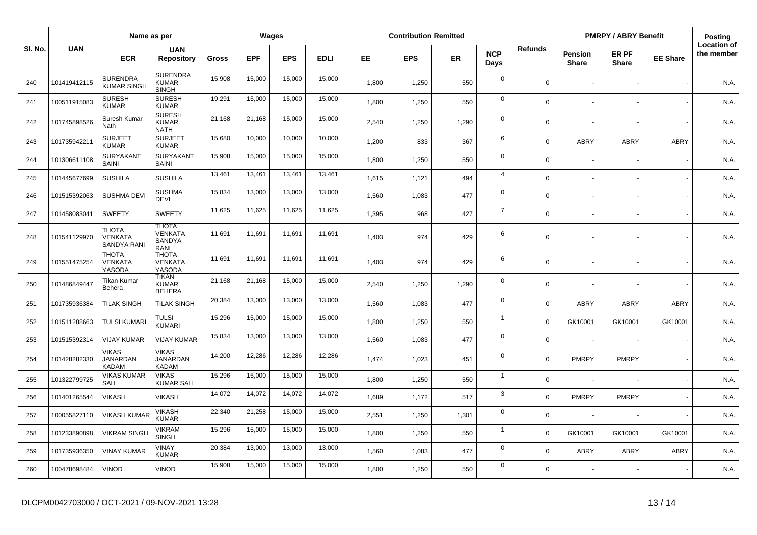| SI. No. | <b>UAN</b>   | Name as per                                          |                                                  | Wages  |            |            | <b>Contribution Remitted</b> |       |            |       |                    | <b>PMRPY / ABRY Benefit</b> |                                |                       | Posting         |                                  |
|---------|--------------|------------------------------------------------------|--------------------------------------------------|--------|------------|------------|------------------------------|-------|------------|-------|--------------------|-----------------------------|--------------------------------|-----------------------|-----------------|----------------------------------|
|         |              | <b>ECR</b>                                           | <b>UAN</b><br><b>Repository</b>                  | Gross  | <b>EPF</b> | <b>EPS</b> | <b>EDLI</b>                  | EE.   | <b>EPS</b> | ER    | <b>NCP</b><br>Days | <b>Refunds</b>              | <b>Pension</b><br><b>Share</b> | ER PF<br><b>Share</b> | <b>EE Share</b> | <b>Location of</b><br>the member |
| 240     | 101419412115 | <b>SURENDRA</b><br><b>KUMAR SINGH</b>                | <b>SURENDRA</b><br><b>KUMAR</b><br><b>SINGH</b>  | 15,908 | 15,000     | 15,000     | 15,000                       | 1,800 | 1,250      | 550   | $\mathbf 0$        | $\mathbf 0$                 |                                |                       |                 | N.A.                             |
| 241     | 100511915083 | <b>SURESH</b><br><b>KUMAR</b>                        | <b>SURESH</b><br><b>KUMAR</b>                    | 19,291 | 15,000     | 15,000     | 15,000                       | 1,800 | 1,250      | 550   | $\mathbf 0$        | $\mathbf 0$                 |                                |                       |                 | N.A.                             |
| 242     | 101745898526 | Suresh Kumar<br>Nath                                 | <b>SURESH</b><br><b>KUMAR</b><br><b>NATH</b>     | 21,168 | 21,168     | 15,000     | 15,000                       | 2.540 | 1,250      | 1,290 | $\mathbf 0$        | $\mathbf 0$                 |                                |                       |                 | N.A.                             |
| 243     | 101735942211 | <b>SURJEET</b><br><b>KUMAR</b>                       | <b>SURJEET</b><br><b>KUMAR</b>                   | 15,680 | 10,000     | 10,000     | 10,000                       | 1,200 | 833        | 367   | 6                  | $\mathbf 0$                 | <b>ABRY</b>                    | ABRY                  | <b>ABRY</b>     | N.A.                             |
| 244     | 101306611108 | SURYAKANT<br>SAINI                                   | <b>SURYAKANT</b><br>SAINI                        | 15,908 | 15,000     | 15,000     | 15,000                       | 1,800 | 1,250      | 550   | $\mathbf 0$        | $\overline{0}$              |                                |                       |                 | N.A.                             |
| 245     | 101445677699 | <b>SUSHILA</b>                                       | <b>SUSHILA</b>                                   | 13,461 | 13,461     | 13,461     | 13,461                       | 1,615 | 1,121      | 494   | $\overline{4}$     | $\Omega$                    |                                |                       |                 | N.A.                             |
| 246     | 101515392063 | <b>SUSHMA DEVI</b>                                   | <b>SUSHMA</b><br><b>DEVI</b>                     | 15,834 | 13,000     | 13,000     | 13,000                       | 1,560 | 1,083      | 477   | $\mathbf 0$        | $\mathbf 0$                 |                                |                       |                 | N.A.                             |
| 247     | 101458083041 | <b>SWEETY</b>                                        | <b>SWEETY</b>                                    | 11,625 | 11,625     | 11,625     | 11,625                       | 1,395 | 968        | 427   | $\overline{7}$     | $\mathbf 0$                 |                                |                       |                 | N.A.                             |
| 248     | 101541129970 | <b>THOTA</b><br><b>VENKATA</b><br><b>SANDYA RANI</b> | <b>THOTA</b><br><b>VENKATA</b><br>SANDYA<br>RANI | 11,691 | 11,691     | 11,691     | 11,691                       | 1,403 | 974        | 429   | 6                  | $\Omega$                    |                                |                       |                 | N.A.                             |
| 249     | 101551475254 | <b>THOTA</b><br>VENKATA<br>YASODA                    | <b>THOTA</b><br><b>VENKATA</b><br>YASODA         | 11,691 | 11,691     | 11,691     | 11,691                       | 1,403 | 974        | 429   | 6                  | $\mathbf 0$                 |                                |                       |                 | N.A.                             |
| 250     | 101486849447 | Tikan Kumar<br>Behera                                | <b>TIKAN</b><br><b>KUMAR</b><br><b>BEHERA</b>    | 21,168 | 21,168     | 15,000     | 15,000                       | 2,540 | 1,250      | 1,290 | $\mathbf{0}$       | $\Omega$                    |                                |                       |                 | N.A.                             |
| 251     | 101735936384 | <b>TILAK SINGH</b>                                   | <b>TILAK SINGH</b>                               | 20,384 | 13,000     | 13,000     | 13,000                       | 1,560 | 1,083      | 477   | $\mathbf 0$        | $\mathbf 0$                 | <b>ABRY</b>                    | ABRY                  | <b>ABRY</b>     | N.A.                             |
| 252     | 101511288663 | <b>TULSI KUMARI</b>                                  | <b>TULSI</b><br><b>KUMARI</b>                    | 15,296 | 15,000     | 15,000     | 15,000                       | 1,800 | 1,250      | 550   | $\mathbf{1}$       | $\mathbf 0$                 | GK10001                        | GK10001               | GK10001         | N.A.                             |
| 253     | 101515392314 | <b>VIJAY KUMAR</b>                                   | <b>VIJAY KUMAR</b>                               | 15,834 | 13,000     | 13,000     | 13,000                       | 1,560 | 1,083      | 477   | $\mathbf 0$        | $\Omega$                    |                                |                       |                 | N.A.                             |
| 254     | 101428282330 | <b>VIKAS</b><br>JANARDAN<br><b>KADAM</b>             | <b>VIKAS</b><br><b>JANARDAN</b><br><b>KADAM</b>  | 14,200 | 12,286     | 12,286     | 12,286                       | 1,474 | 1,023      | 451   | $\mathbf 0$        | $\overline{0}$              | PMRPY                          | <b>PMRPY</b>          |                 | N.A.                             |
| 255     | 101322799725 | <b>VIKAS KUMAR</b><br>SAH                            | <b>VIKAS</b><br><b>KUMAR SAH</b>                 | 15,296 | 15,000     | 15,000     | 15,000                       | 1,800 | 1,250      | 550   | $\mathbf{1}$       | $\mathbf 0$                 |                                |                       |                 | N.A.                             |
| 256     | 101401265544 | <b>VIKASH</b>                                        | <b>VIKASH</b>                                    | 14,072 | 14,072     | 14,072     | 14,072                       | 1,689 | 1,172      | 517   | 3                  | $\mathbf 0$                 | <b>PMRPY</b>                   | <b>PMRPY</b>          |                 | N.A.                             |
| 257     | 100055827110 | <b>VIKASH KUMAI</b>                                  | <b>VIKASH</b><br><b>KUMAR</b>                    | 22,340 | 21,258     | 15,000     | 15,000                       | 2,551 | 1,250      | 1,301 | $\mathbf 0$        | $\mathbf 0$                 |                                |                       |                 | N.A.                             |
| 258     | 101233890898 | <b>VIKRAM SINGH</b>                                  | <b>VIKRAM</b><br><b>SINGH</b>                    | 15,296 | 15,000     | 15,000     | 15,000                       | 1,800 | 1,250      | 550   | $\mathbf{1}$       | $\mathbf 0$                 | GK10001                        | GK10001               | GK10001         | N.A.                             |
| 259     | 101735936350 | <b>VINAY KUMAR</b>                                   | <b>VINAY</b><br><b>KUMAR</b>                     | 20,384 | 13,000     | 13,000     | 13,000                       | 1,560 | 1,083      | 477   | $\mathbf 0$        | $\mathbf 0$                 | <b>ABRY</b>                    | ABRY                  | ABRY            | N.A.                             |
| 260     | 100478698484 | <b>VINOD</b>                                         | <b>VINOD</b>                                     | 15,908 | 15,000     | 15,000     | 15,000                       | 1,800 | 1,250      | 550   | $\Omega$           | $\mathbf 0$                 |                                |                       |                 | N.A.                             |